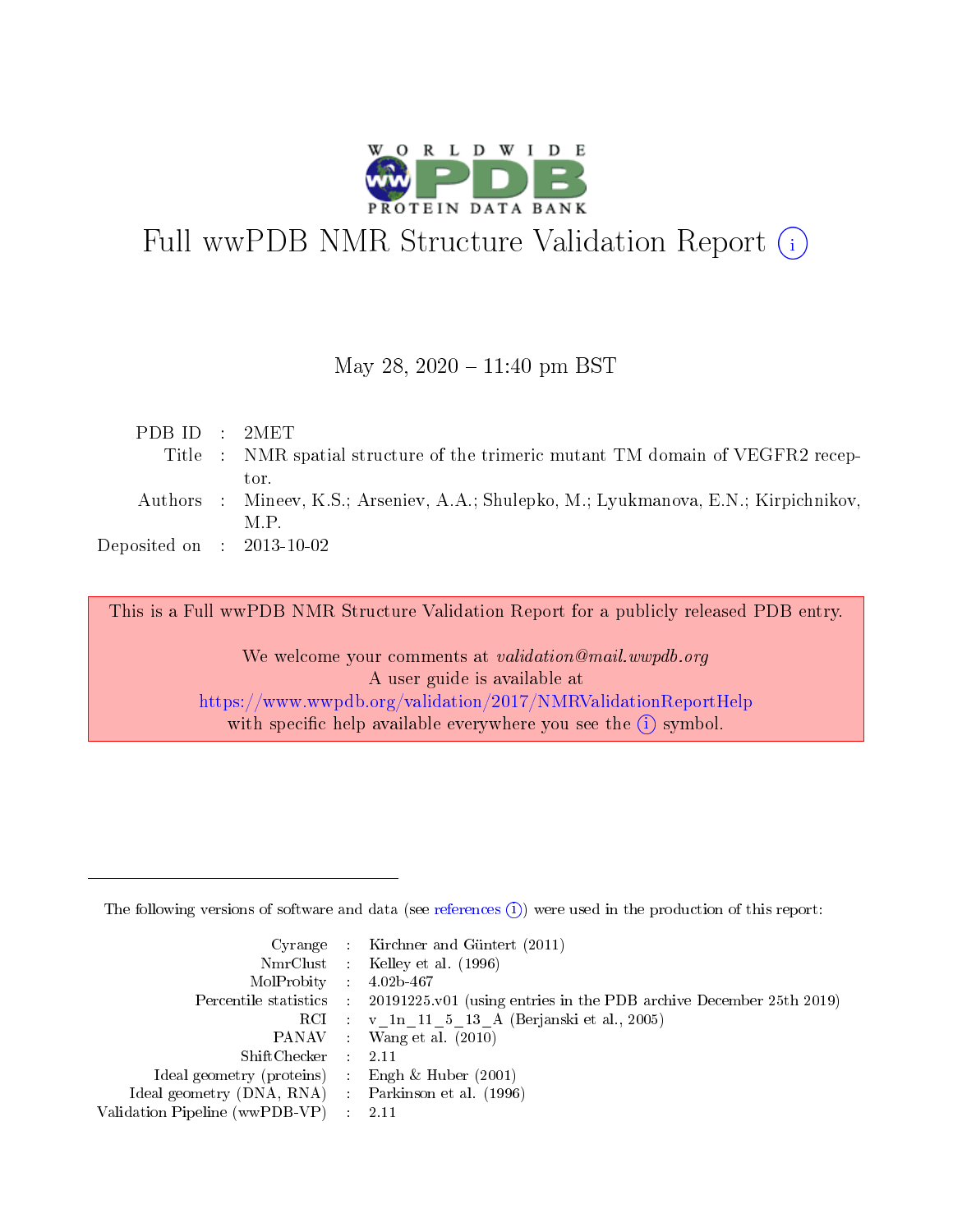

# Full wwPDB NMR Structure Validation Report (i)

#### May 28,  $2020 - 11:40$  pm BST

| PDB ID : 2MET                        |                                                                                       |
|--------------------------------------|---------------------------------------------------------------------------------------|
|                                      | Title : NMR spatial structure of the trimeric mutant TM domain of VEGFR2 recep-       |
|                                      | tor.                                                                                  |
|                                      | Authors : Mineev, K.S.; Arseniev, A.A.; Shulepko, M.; Lyukmanova, E.N.; Kirpichnikov, |
|                                      | M P                                                                                   |
| Deposited on $\therefore$ 2013-10-02 |                                                                                       |

This is a Full wwPDB NMR Structure Validation Report for a publicly released PDB entry.

We welcome your comments at *validation@mail.wwpdb.org* A user guide is available at <https://www.wwpdb.org/validation/2017/NMRValidationReportHelp> with specific help available everywhere you see the  $(i)$  symbol.

The following versions of software and data (see [references](https://www.wwpdb.org/validation/2017/NMRValidationReportHelp#references)  $(1)$ ) were used in the production of this report:

|                                                     | Cyrange : Kirchner and Güntert (2011)                                  |
|-----------------------------------------------------|------------------------------------------------------------------------|
|                                                     | NmrClust : Kelley et al. (1996)                                        |
| $MolProbability$ 4.02b-467                          |                                                                        |
| Percentile statistics :                             | $20191225$ , v01 (using entries in the PDB archive December 25th 2019) |
|                                                     | RCI : v 1n 11 5 13 A (Berjanski et al., 2005)                          |
|                                                     | PANAV : Wang et al. (2010)                                             |
| $ShiftChecker$ : 2.11                               |                                                                        |
| Ideal geometry (proteins) : Engh $\&$ Huber (2001)  |                                                                        |
| Ideal geometry (DNA, RNA) : Parkinson et al. (1996) |                                                                        |
| Validation Pipeline (wwPDB-VP)                      | -2.11                                                                  |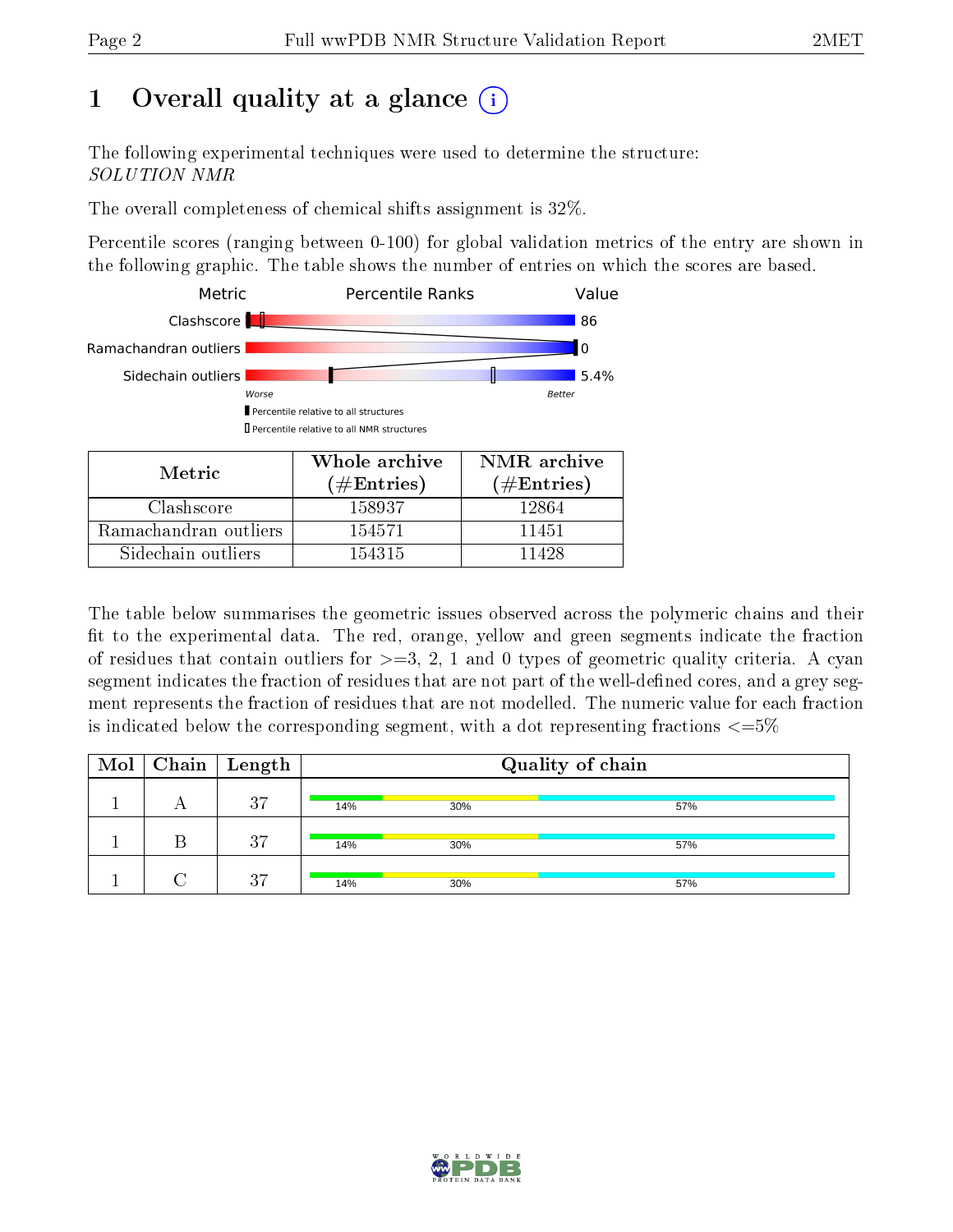# 1 [O](https://www.wwpdb.org/validation/2017/NMRValidationReportHelp#overall_quality)verall quality at a glance (i)

The following experimental techniques were used to determine the structure: SOLUTION NMR

The overall completeness of chemical shifts assignment is 32%.

Percentile scores (ranging between 0-100) for global validation metrics of the entry are shown in the following graphic. The table shows the number of entries on which the scores are based.



The table below summarises the geometric issues observed across the polymeric chains and their fit to the experimental data. The red, orange, yellow and green segments indicate the fraction of residues that contain outliers for  $>=$  3, 2, 1 and 0 types of geometric quality criteria. A cyan segment indicates the fraction of residues that are not part of the well-defined cores, and a grey segment represents the fraction of residues that are not modelled. The numeric value for each fraction is indicated below the corresponding segment, with a dot representing fractions  $\epsilon = 5\%$ 

| Mol | $\vert$ Chain $\vert$ Length |     |     | Quality of chain |
|-----|------------------------------|-----|-----|------------------|
|     | 27                           | 14% | 30% | 57%              |
|     | 27                           | 14% | 30% | 57%              |
|     | 27                           | 14% | 30% | 57%              |

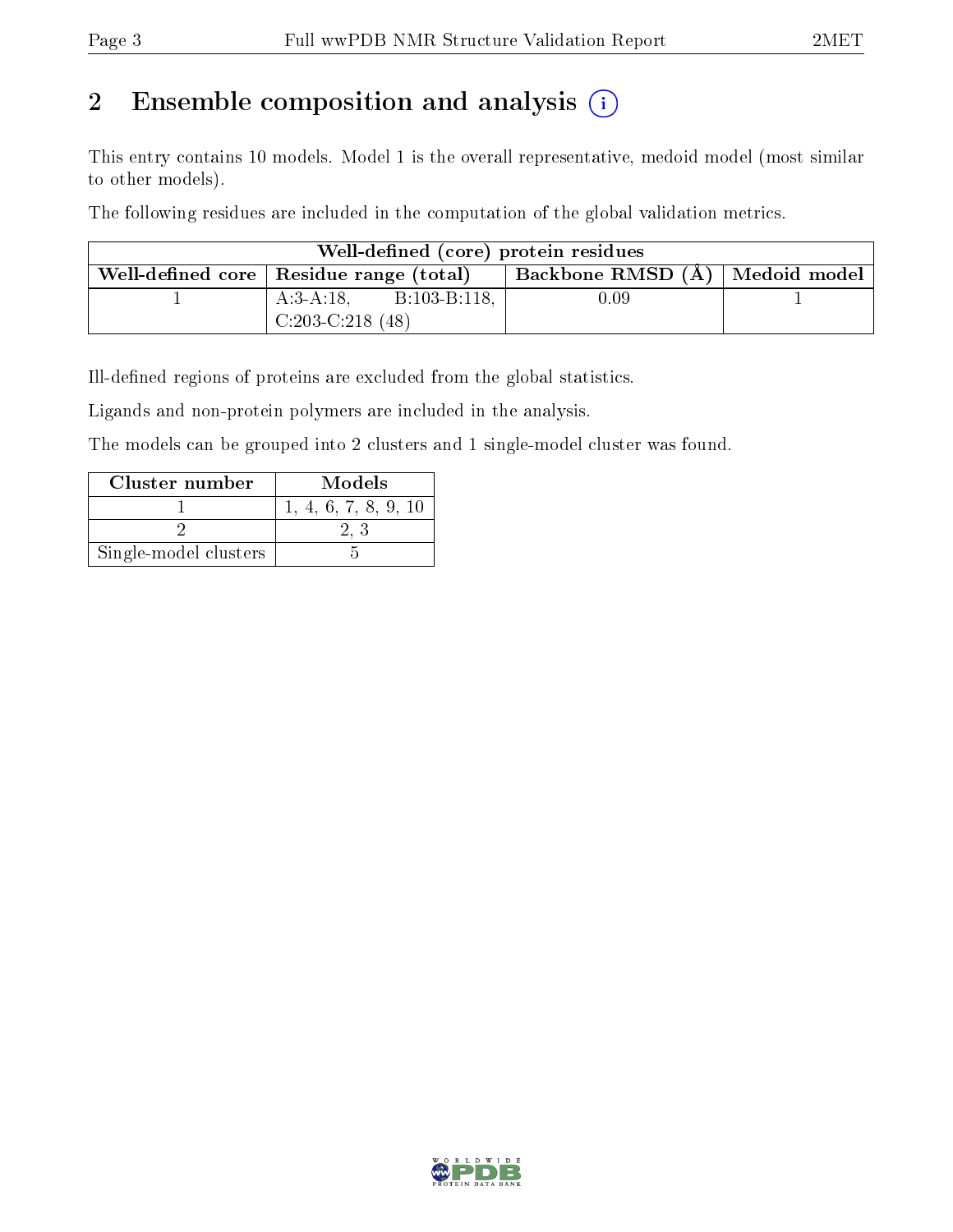# 2 Ensemble composition and analysis  $(i)$

This entry contains 10 models. Model 1 is the overall representative, medoid model (most similar to other models).

The following residues are included in the computation of the global validation metrics.

| Well-defined (core) protein residues |                                           |                                    |  |  |  |  |
|--------------------------------------|-------------------------------------------|------------------------------------|--|--|--|--|
|                                      | Well-defined core   Residue range (total) | † Backbone RMSD (Å)   Medoid model |  |  |  |  |
|                                      | $A:3-A:18$ , $B:103-B:118$ ,              | 0.09                               |  |  |  |  |
|                                      | $C:203-C:218(48)$                         |                                    |  |  |  |  |

Ill-defined regions of proteins are excluded from the global statistics.

Ligands and non-protein polymers are included in the analysis.

The models can be grouped into 2 clusters and 1 single-model cluster was found.

| Cluster number        | Models               |
|-----------------------|----------------------|
|                       | 1, 4, 6, 7, 8, 9, 10 |
|                       |                      |
| Single-model clusters |                      |

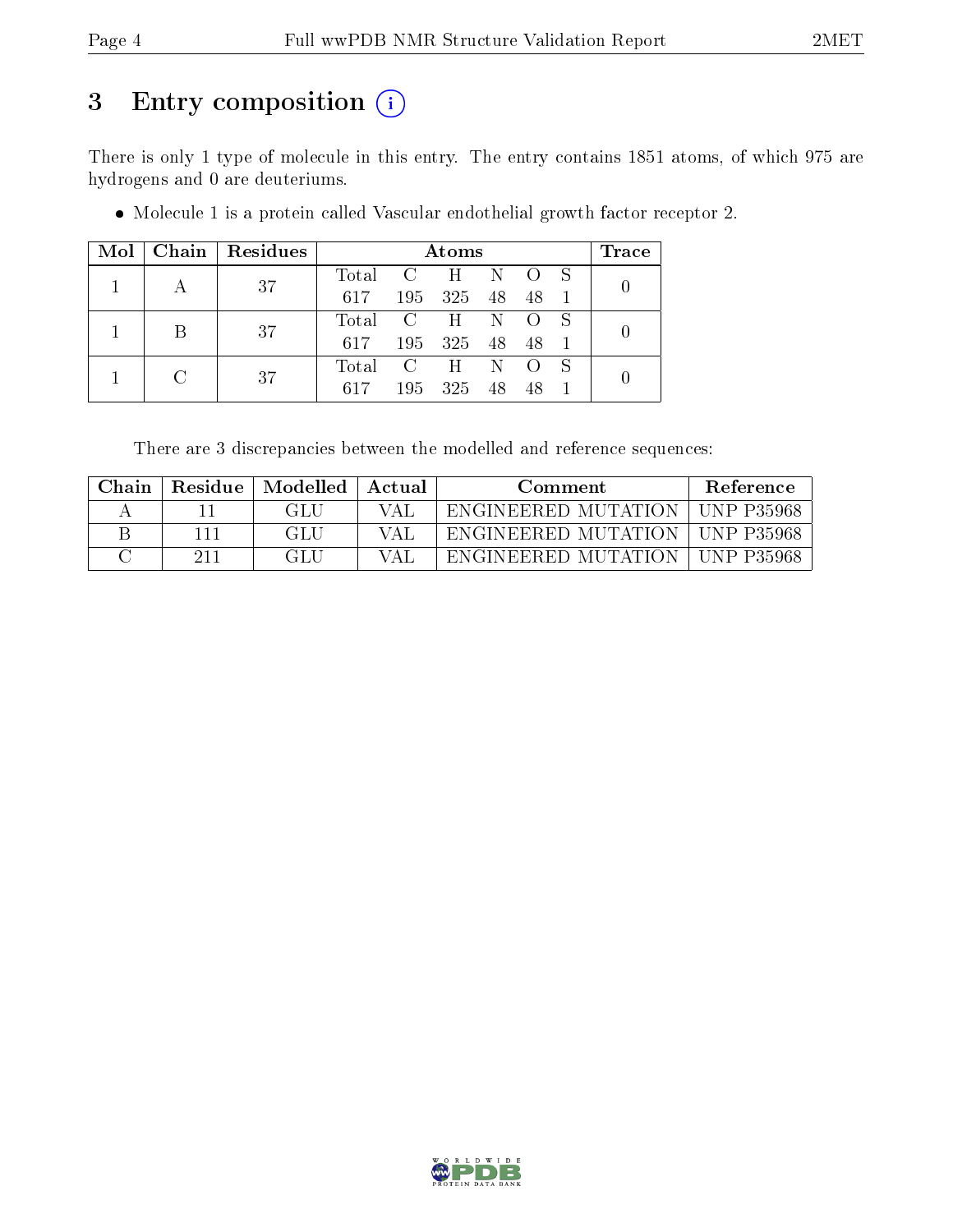# 3 Entry composition (i)

There is only 1 type of molecule in this entry. The entry contains 1851 atoms, of which 975 are hydrogens and 0 are deuteriums.

|  |             | $Mol$   Chain   Residues |                   | Atoms           |  | Trace |
|--|-------------|--------------------------|-------------------|-----------------|--|-------|
|  |             | 37                       | Total C H N O S   |                 |  |       |
|  |             |                          | 617               | 195 325 48 48 1 |  |       |
|  | $\mathsf B$ | 37                       | Total C H N O     |                 |  |       |
|  |             |                          | 617 195 325 48 48 |                 |  |       |
|  |             | 37                       | Total C H N O S   |                 |  |       |
|  |             |                          | 617               | 195 325 48 48   |  |       |

Molecule 1 is a protein called Vascular endothelial growth factor receptor 2.

There are 3 discrepancies between the modelled and reference sequences:

| Chain | <b>Residue</b> | Modelled | Actual | Comment             | <b>Reference</b>   |
|-------|----------------|----------|--------|---------------------|--------------------|
|       |                |          |        | ENGINEERED MUTATION | <b>IINP P35968</b> |
|       |                | - GLU-   |        | ENGINEERED MUTATION | LINP P35968        |
|       |                | - GLU-   |        | ENGINEERED MUTATION | <b>IINP P35968</b> |

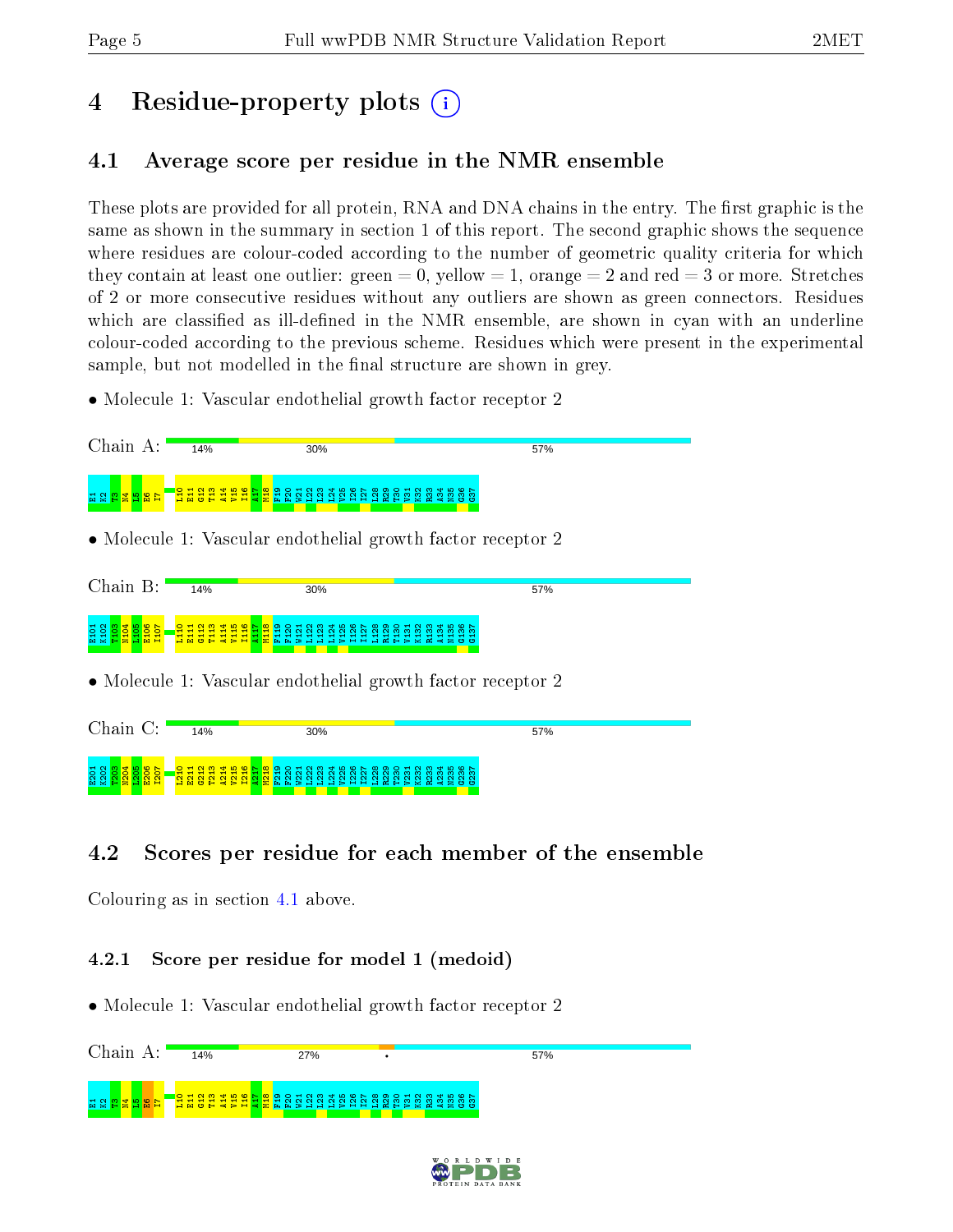# 4 Residue-property plots  $\binom{1}{1}$

## <span id="page-4-0"></span>4.1 Average score per residue in the NMR ensemble

These plots are provided for all protein, RNA and DNA chains in the entry. The first graphic is the same as shown in the summary in section 1 of this report. The second graphic shows the sequence where residues are colour-coded according to the number of geometric quality criteria for which they contain at least one outlier: green  $= 0$ , yellow  $= 1$ , orange  $= 2$  and red  $= 3$  or more. Stretches of 2 or more consecutive residues without any outliers are shown as green connectors. Residues which are classified as ill-defined in the NMR ensemble, are shown in cyan with an underline colour-coded according to the previous scheme. Residues which were present in the experimental sample, but not modelled in the final structure are shown in grey.

• Molecule 1: Vascular endothelial growth factor receptor 2



## 4.2 Scores per residue for each member of the ensemble

Colouring as in section [4.1](#page-4-0) above.

4.2.1 Score per residue for model 1 (medoid)

• Molecule 1: Vascular endothelial growth factor receptor 2



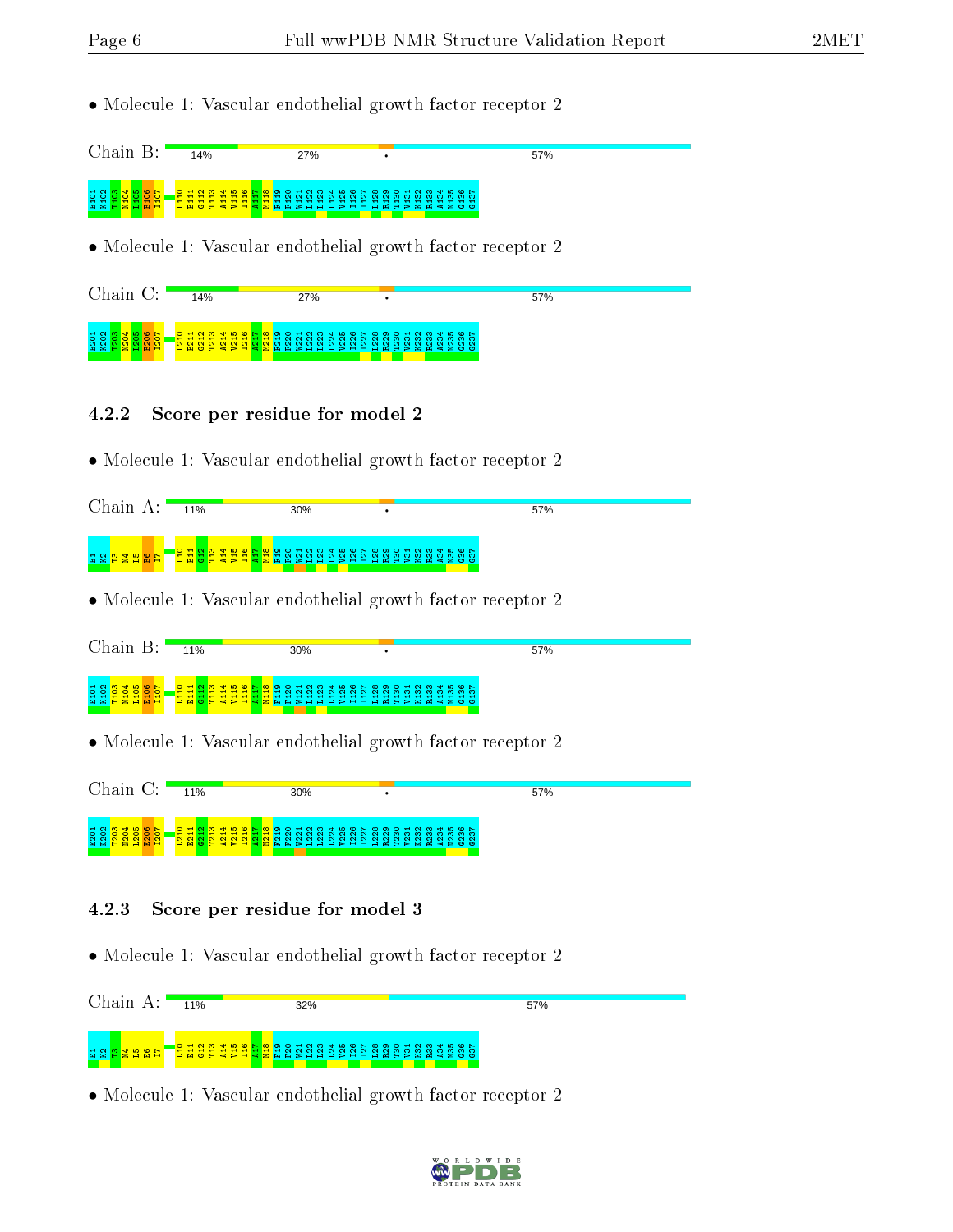• Molecule 1: Vascular endothelial growth factor receptor 2



• Molecule 1: Vascular endothelial growth factor receptor 2

| $\gamma$ hain                        | 14%                            | 27%                                                |                                                                                      | 57% |  |
|--------------------------------------|--------------------------------|----------------------------------------------------|--------------------------------------------------------------------------------------|-----|--|
| H <sub>2</sub>                       |                                |                                                    | O H N M T D M T O N M T N M T D M T D W T N M T D W T                                |     |  |
| ន ន<br>$\circ$<br><b>MMFF</b><br>. . | <del>.</del><br><u>पन न न </u> | $\sim$<br>$\sim$ $\sim$<br>- - - - - - - - - - - - | <br><b>QQQ</b><br>$\alpha$ $\alpha$ $>$ $\alpha$ $\alpha$ $>$ $\alpha$ $\alpha$<br>ت |     |  |

- 4.2.2 Score per residue for model 2
- Molecule 1: Vascular endothelial growth factor receptor 2

| Chain A: $\blacksquare$                             | 11%                                                                                                    | 30% |                                                             | 57% |
|-----------------------------------------------------|--------------------------------------------------------------------------------------------------------|-----|-------------------------------------------------------------|-----|
| <u> 더 없 <mark>한 걸 더</mark> 없 더</u>                  |                                                                                                        |     |                                                             |     |
|                                                     |                                                                                                        |     | • Molecule 1: Vascular endothelial growth factor receptor 2 |     |
| $Chain B$ :                                         | 11%                                                                                                    | 30% |                                                             | 57% |
| E101<br>K102<br>T103<br><b>NHOS</b><br>NHOS<br>NHOS |                                                                                                        |     |                                                             |     |
|                                                     |                                                                                                        |     | • Molecule 1: Vascular endothelial growth factor receptor 2 |     |
| Chain C:                                            | 11%                                                                                                    | 30% |                                                             | 57% |
| E201<br>K202<br><b>PZ1</b>                          | P <sub>219</sub><br>$\frac{1}{2}$<br>$\overline{21}$<br><mark>질질</mark><br>$\overline{2}$<br><b>Pa</b> |     |                                                             |     |

#### 4.2.3 Score per residue for model 3

• Molecule 1: Vascular endothelial growth factor receptor 2



• Molecule 1: Vascular endothelial growth factor receptor 2

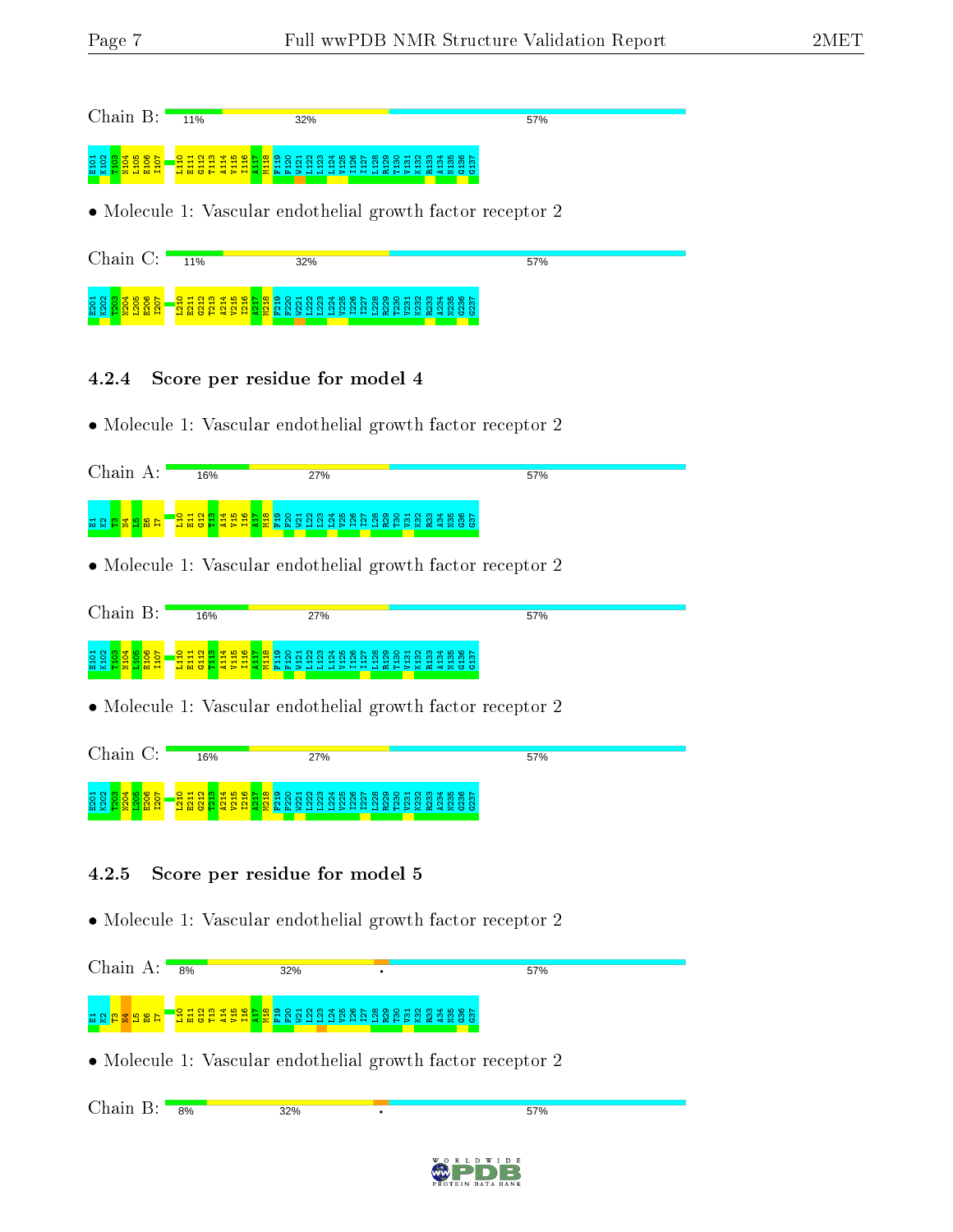| Chain B:                                                                            | 11% | 32%                                                                                     | 57%   |  |
|-------------------------------------------------------------------------------------|-----|-----------------------------------------------------------------------------------------|-------|--|
| E101<br>E101<br>E101<br>E101<br>E101                                                |     |                                                                                         |       |  |
|                                                                                     |     | • Molecule 1: Vascular endothelial growth factor receptor 2                             |       |  |
| Chain C:                                                                            | 11% | 32%                                                                                     | 57%   |  |
| ដួ <u>ន និង និង និង</u><br>ប្រស <mark>ាប្តី</mark><br>ប្តី ប្តី ប្តី ប្តី ប្តី ប្តី |     |                                                                                         |       |  |
| 4.2.4                                                                               |     | Score per residue for model 4                                                           |       |  |
|                                                                                     |     | • Molecule 1: Vascular endothelial growth factor receptor 2                             |       |  |
| Chain A:                                                                            | 16% | 27%                                                                                     | 57%   |  |
| <u>더 없 법 불 법 없 급</u>                                                                |     | <mark>ម្ម មិនដូងដូងដូ</mark> ងនីនី ទី មិនដូន ដូន ដូន មិន និង ទី ទី នី ទី នី ទី នី ទី នី |       |  |
|                                                                                     |     | • Molecule 1: Vascular endothelial growth factor receptor 2                             |       |  |
| Chain B:                                                                            | 16% | 27%                                                                                     | 57%   |  |
| End <mark>e de Sa</mark><br>Endeand                                                 |     |                                                                                         |       |  |
|                                                                                     |     | • Molecule 1: Vascular endothelial growth factor receptor 2                             |       |  |
| Chain C:                                                                            | 16% | 27%                                                                                     | 57%   |  |
|                                                                                     |     |                                                                                         |       |  |
| $\bf 4.2.5$                                                                         |     | Score per residue for model 5                                                           |       |  |
|                                                                                     |     | • Molecule 1: Vascular endothelial growth factor receptor 2                             |       |  |
| Chain $A:$                                                                          | 8%  | 32%                                                                                     | 57%   |  |
|                                                                                     |     | <b>ិដ្ឋិន្ទ្</b> និង និង និង និង និង                                                    | 23585 |  |
|                                                                                     |     | • Molecule 1: Vascular endothelial growth factor receptor 2                             |       |  |
| Chain B:                                                                            | 8%  | 32%                                                                                     | 57%   |  |
|                                                                                     |     |                                                                                         |       |  |
|                                                                                     |     |                                                                                         |       |  |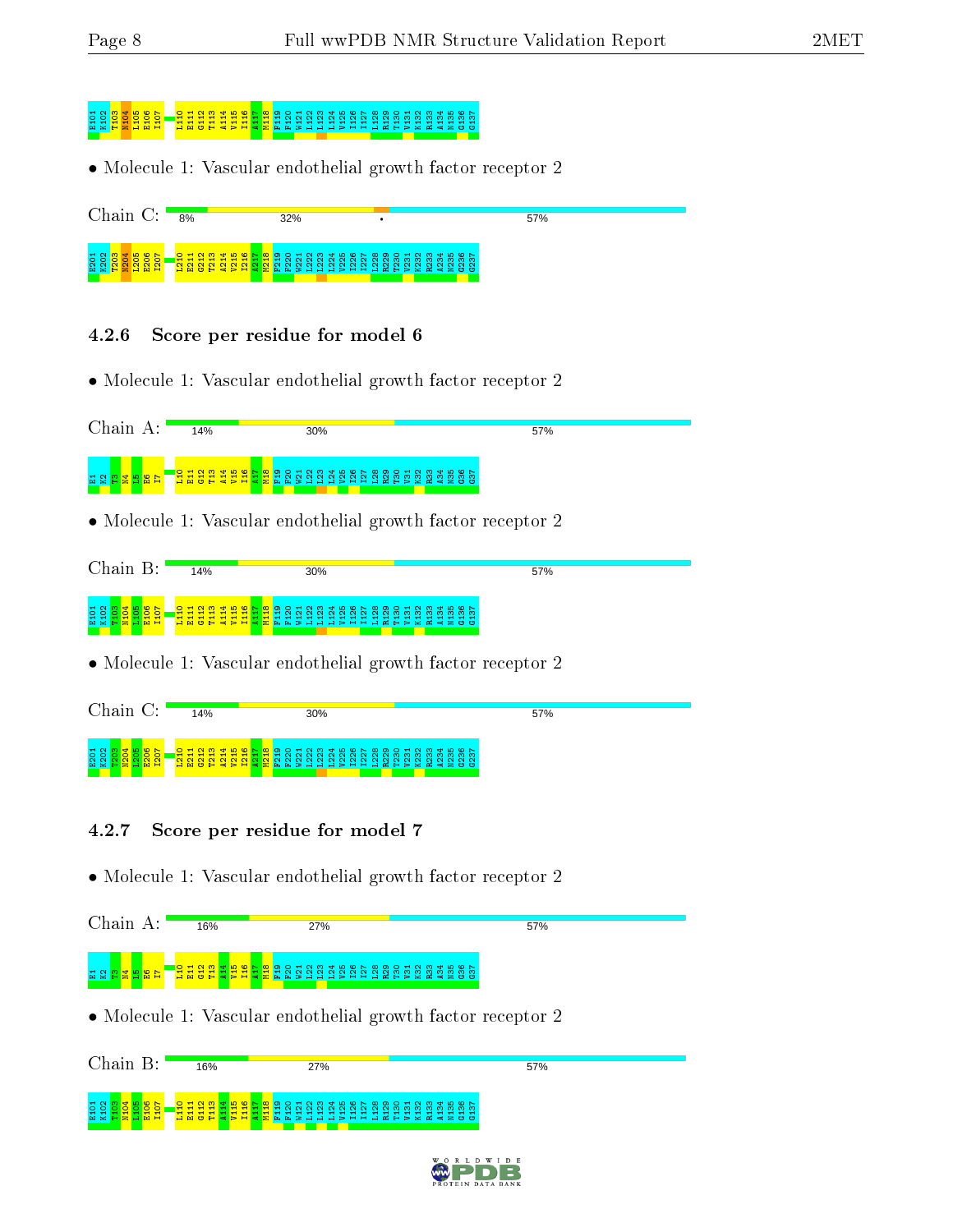# <mark>e g s s e gant da lita da lita da lita da lita da lita da lita da lita da</mark> lita da lita da lita da lita da lit<br>S e g s s e gant da lita da lita da lita da lita da lita da lita da lita da lita da lita da lita da lita da li

• Molecule 1: Vascular endothelial growth factor receptor 2



#### 4.2.6 Score per residue for model 6

• Molecule 1: Vascular endothelial growth factor receptor 2



• Molecule 1: Vascular endothelial growth factor receptor 2

| Chain<br>B:                                                                                | 14%                      | 30%                                                                                                                                                                                                                                                 | 57%                                 |
|--------------------------------------------------------------------------------------------|--------------------------|-----------------------------------------------------------------------------------------------------------------------------------------------------------------------------------------------------------------------------------------------------|-------------------------------------|
| $H \alpha$<br>$\circ$<br>$\sim$<br>$\mathbf{E} \times \mathbf{F}$<br>10 H<br>. <b>2.</b> 4 | $\overline{\phantom{a}}$ | O H N M T W W D O H N M T M M T W M T W M T W W T W W T W W T<br>$\bar{\sim}$<br>$\sim$<br>$\sim$<br>50 N<br><b>1999</b><br>$\sim$<br>— <del>—</del><br>$\sim$<br>്<br>$\sim$<br>-<br><u> 日 면 은 남 촌 군 년 역 절 변 년 곡 달 달 달 는 달 달 달 달 부 달 복 복 불 요 요</u> | ത്ത<br><u>mmmmmm</u><br>------<br>÷ |

• Molecule 1: Vascular endothelial growth factor receptor 2

| Chain<br>$\cap$ .                                      | 14%                                                                                                                               | 30%                                                                                                                                                                                                                                                  | 57%              |  |
|--------------------------------------------------------|-----------------------------------------------------------------------------------------------------------------------------------|------------------------------------------------------------------------------------------------------------------------------------------------------------------------------------------------------------------------------------------------------|------------------|--|
| $\circ$ $\sim$<br>$\circ$ $\circ$<br><b>TO .</b><br>мн | $\blacksquare$<br>$\overline{\phantom{0}}$<br>$\overline{\phantom{a}}$<br>$\blacksquare$<br>ъH<br><b>MARTIN</b><br><b>CONTROL</b> | O H N M T B W D O H N M T D W H D O H N M T B W D N<br>$m \dot{m} \dot{m}$<br>$\overline{\phantom{0}}$<br>$\sim$<br>$\overline{\phantom{a}}$<br>$\sim$<br>-41<br><b>MHPXM4200</b><br><b>Take</b><br>$>$ $-$<br>الساد<br>$\overline{a}$<br><b>120</b> | <u>mmmm</u><br>് |  |

- 4.2.7 Score per residue for model 7
- Molecule 1: Vascular endothelial growth factor receptor 2

| Chain A:                | 16% | 27%                                                                                                           | 57% |
|-------------------------|-----|---------------------------------------------------------------------------------------------------------------|-----|
| 1 전 <u>8 12 및 더 명</u> 단 |     | <mark>្មី ដូ ដូ ដូ ដូ ដូ ដូ ទី</mark> ដូ នី ដូ ដូ ដូ ដូ ដូ ដូ ដូ ដូ ដូ នី នី ដូ ដូ ដូ ដូ ដូ ដូ ដូ ដូ ដូ ដូ ដូ |     |
|                         |     |                                                                                                               |     |
|                         |     | • Molecule 1: Vascular endothelial growth factor receptor 2                                                   |     |
| Chain B:                | 16% | 27%                                                                                                           | 57% |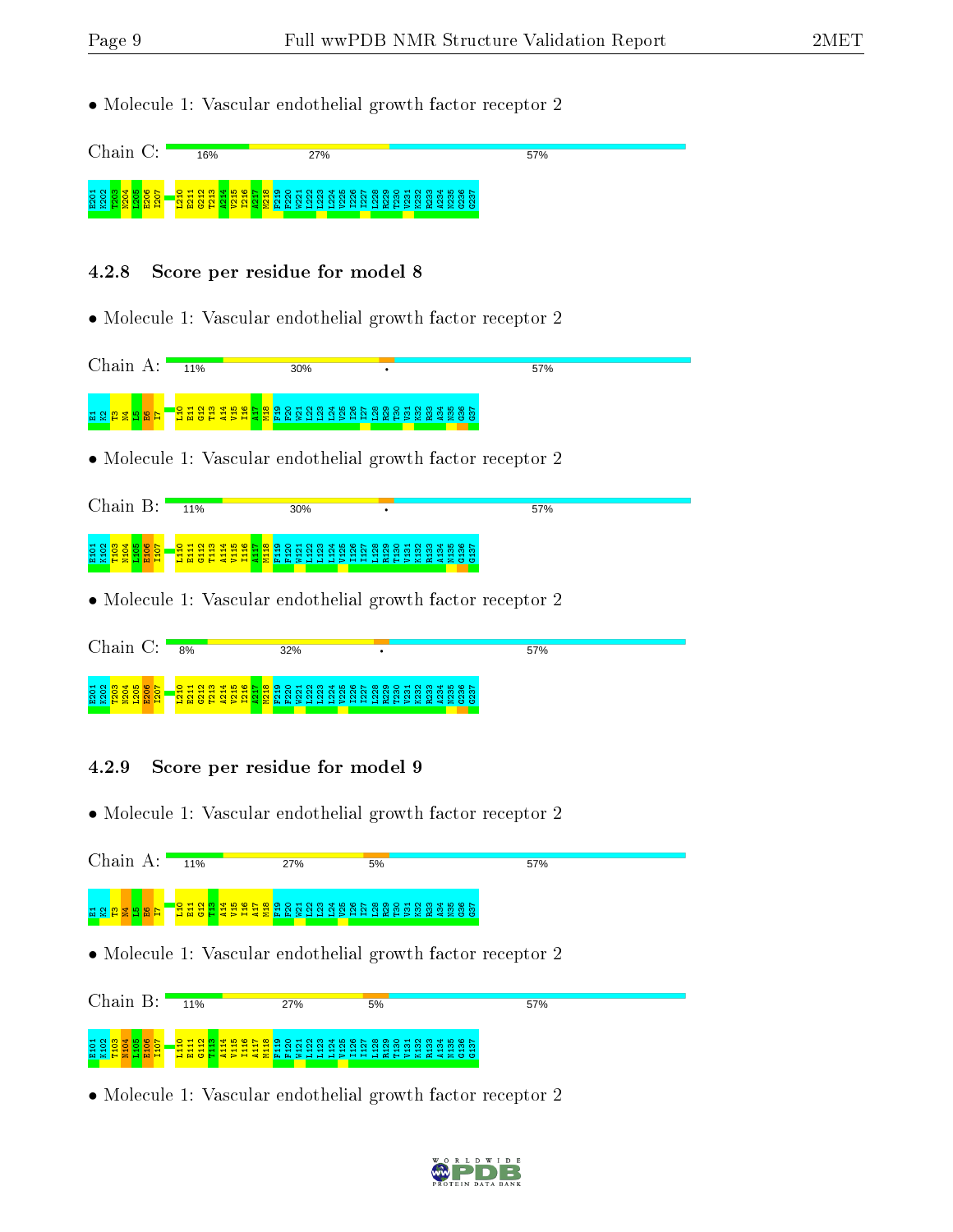- Molecule 1: Vascular endothelial growth factor receptor 2 Chain C: 57% 16% 27% ដូ ខ្លួ<mark>ខ្លួខ្លួ</mark>ខ្លួ<mark>ខ</mark>្លួ<br>ក្តីខ្លួ<mark>ខ្លួ</mark>ខ្លួ<mark>ខ្លួ</mark>  $\frac{273}{2721}$ A214 V215 I216  $\frac{1217}{2}$ M218 F219 F220 W221 L222 L223 L224 V225 I226 I227 L228 R229 T230 V231 K232 R233 A234 N235 G236 G237 4.2.8 Score per residue for model 8 • Molecule 1: Vascular endothelial growth factor receptor 2 Chain A: 11% 30% 57% L10 E11 G12 T13 A14 V15 I16 A17 M18 F19 F20 W21 L22 L23 L24 V25 I26 I27 L28 R29 T30 V31 K32 R33 A34 N35 G36 G37 보 정 <mark>없 및 정 법</mark> • Molecule 1: Vascular endothelial growth factor receptor 2 Chain B:  $\frac{1}{11\%}$ 30% 57% 5 8 <mark>8 3 9 8 5</mark><br>5 2 <mark>8 3 9 8 5</mark><br>5 2 9 8 9 2 L110 E111 G112 T113 A114 V115 I116  $\frac{17}{4}$ M118 F119 F120 3 3 3 3 3 4 5 5 6 7 6 7 6 7 7 7<br>2 5 7 7 7 7 7 7 7 7 7 7 7 7 A134 N135 G136 G137 • Molecule 1: Vascular endothelial growth factor receptor 2 Chain C: <sub>8%</sub> 32% 57% ដូ ខ្លួ<mark>ខ្លួខ្លួ</mark>ខ្លួ<mark>ខ្លួ</mark><br>ដូ ខ្លួ<mark>ខ្លួ</mark>ខ្លួន ន្ទ្រា L210 E211 G212 T213 A214 V215 I216 A217 M218 F219 F220 W221 L222 L223 L224 V225 I226 I227 L228 R229 T230 V231 K232 R233 A234 N235 G236 G237 4.2.9 Score per residue for model 9 • Molecule 1: Vascular endothelial growth factor receptor 2 Chain A: 57% 11% 27% 5%  $\frac{1}{1}$  $\overline{\mathbf{a}}$  $\frac{2}{3}$ ឌ  $\frac{4}{4}$ V15 I16 A17 M18 F19 F20 W21 L22 L23 L24 V25 I26 I27 L28 R29 T30 V31 K32 R33 A34 N35 G36 G37 E1K2T3N4L5E6I7 • Molecule 1: Vascular endothelial growth factor receptor 2 Chain B: 11% 5% 57% 27% 5 8 <mark>8 3 9 8 5 1</mark><br>5 2 8 9 9 8 5 1<br>5 2 9 9 9 9 5 1 L110 G112 T113 A114 V115 I116 A117 M118 F119 F120 W121 L122 L123 L124 V125 I126 I127 L128 R129 T130 V131 K132 R133 A134 N135 G136 G137 E111
- Molecule 1: Vascular endothelial growth factor receptor 2

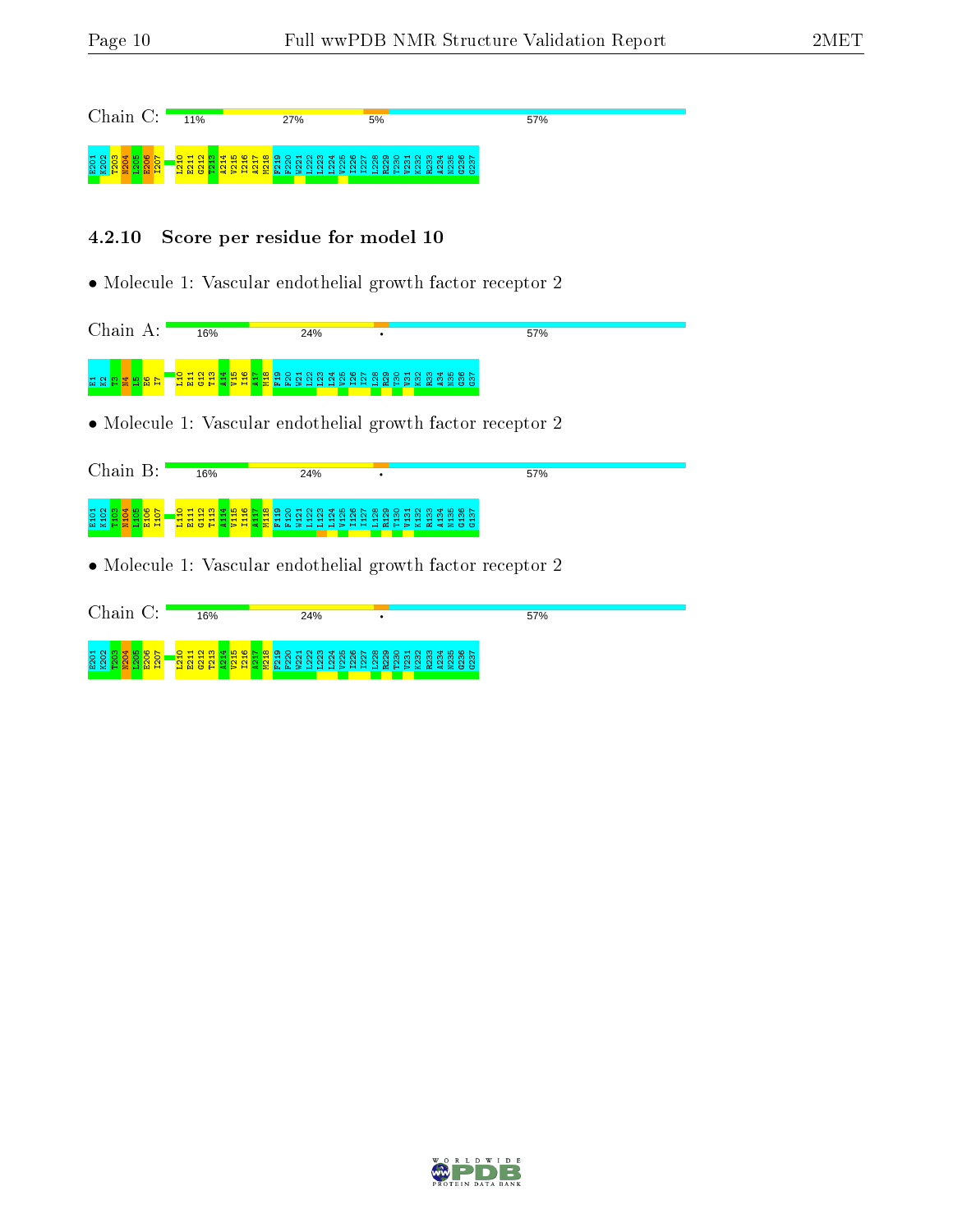| Chain C:                                                            | 11%                            | 27% | 5%                                                                                                                  | 57% |
|---------------------------------------------------------------------|--------------------------------|-----|---------------------------------------------------------------------------------------------------------------------|-----|
|                                                                     |                                |     | <mark>Bangharan Bang</mark> Bangharan Bangharan Bangharan.<br><mark>Bangharan Ban</mark> gharan Bangharan Bangharan |     |
| 4.2.10                                                              | Score per residue for model 10 |     |                                                                                                                     |     |
|                                                                     |                                |     | • Molecule 1: Vascular endothelial growth factor receptor 2                                                         |     |
| Chain A:                                                            | 16%                            | 24% |                                                                                                                     | 57% |
| 법 Q <mark>합 별 법 없</mark>                                            |                                |     |                                                                                                                     |     |
|                                                                     |                                |     | • Molecule 1: Vascular endothelial growth factor receptor 2                                                         |     |
| Chain B:                                                            | 16%                            | 24% |                                                                                                                     | 57% |
| 요 20 <mark>839880</mark><br>요 요 <mark>요 요 요 요 요</mark>              |                                |     | <mark>年흱흲뵗봆乌틑</mark> 金뙁욍へ엸엟왏웞씷봕엻엃쭹ι<br><mark>꿕뤙흲뤓<sup></sup>흲붱튷</mark> ດ,                                           |     |
|                                                                     |                                |     | • Molecule 1: Vascular endothelial growth factor receptor 2                                                         |     |
| Chain C:                                                            | 16%                            | 24% |                                                                                                                     | 57% |
| ត្តខ្លួ <mark>ន ន</mark> ្លួន ន្ត្រី<br>សូម ត្តន្ត្រី ន្ត្រី ន្ត្រី |                                |     |                                                                                                                     |     |

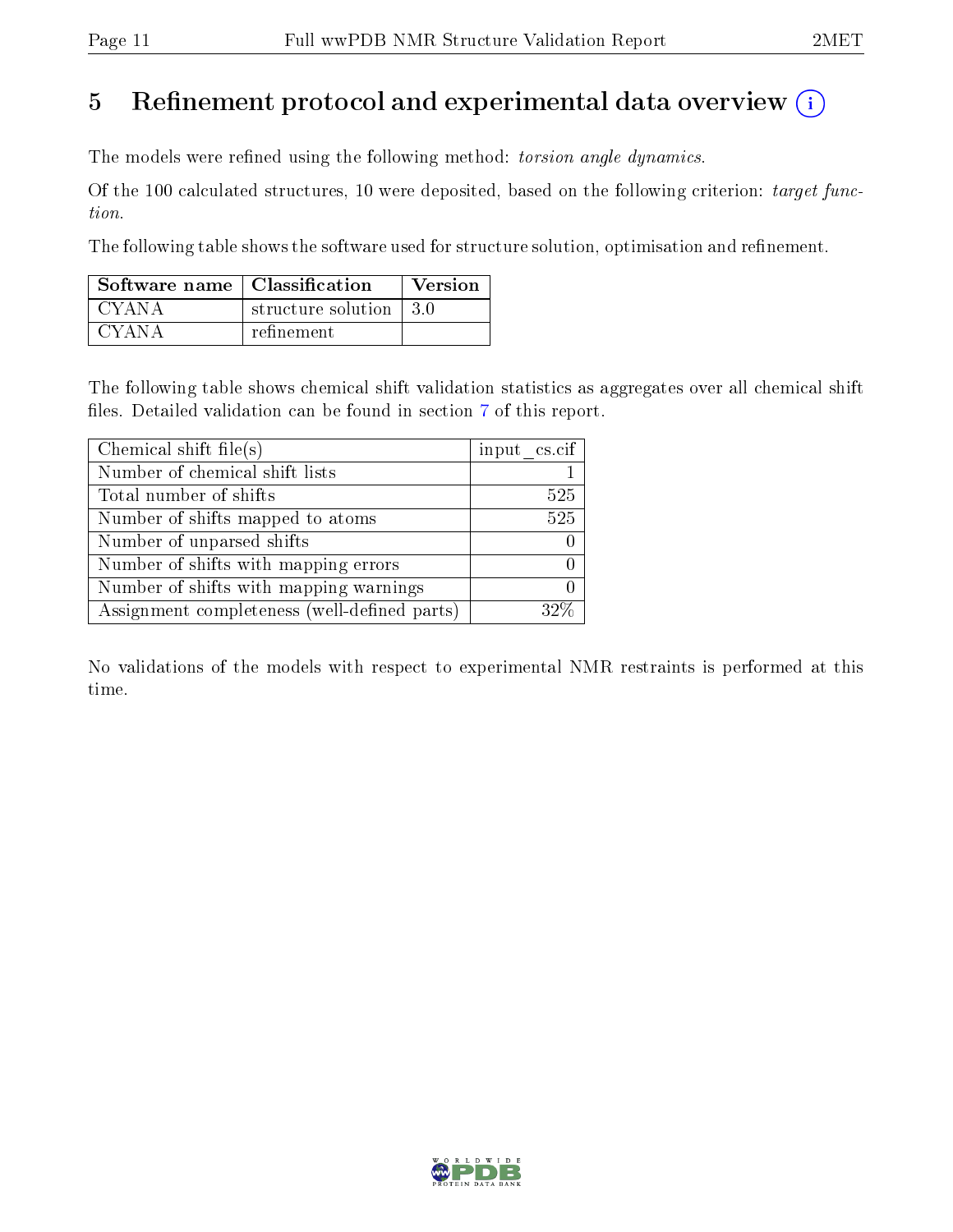# 5 Refinement protocol and experimental data overview  $\binom{1}{k}$

The models were refined using the following method: torsion angle dynamics.

Of the 100 calculated structures, 10 were deposited, based on the following criterion: target function.

The following table shows the software used for structure solution, optimisation and refinement.

| Software name   Classification |                         | Version |
|--------------------------------|-------------------------|---------|
| CYANA                          | structure solution 13.0 |         |
| CYANA                          | refinement              |         |

The following table shows chemical shift validation statistics as aggregates over all chemical shift files. Detailed validation can be found in section [7](#page-17-0) of this report.

| Chemical shift file(s)                       | input cs.cif |
|----------------------------------------------|--------------|
| Number of chemical shift lists               |              |
| Total number of shifts                       | 525          |
| Number of shifts mapped to atoms             | 525          |
| Number of unparsed shifts                    |              |
| Number of shifts with mapping errors         |              |
| Number of shifts with mapping warnings       |              |
| Assignment completeness (well-defined parts) |              |

No validations of the models with respect to experimental NMR restraints is performed at this time.

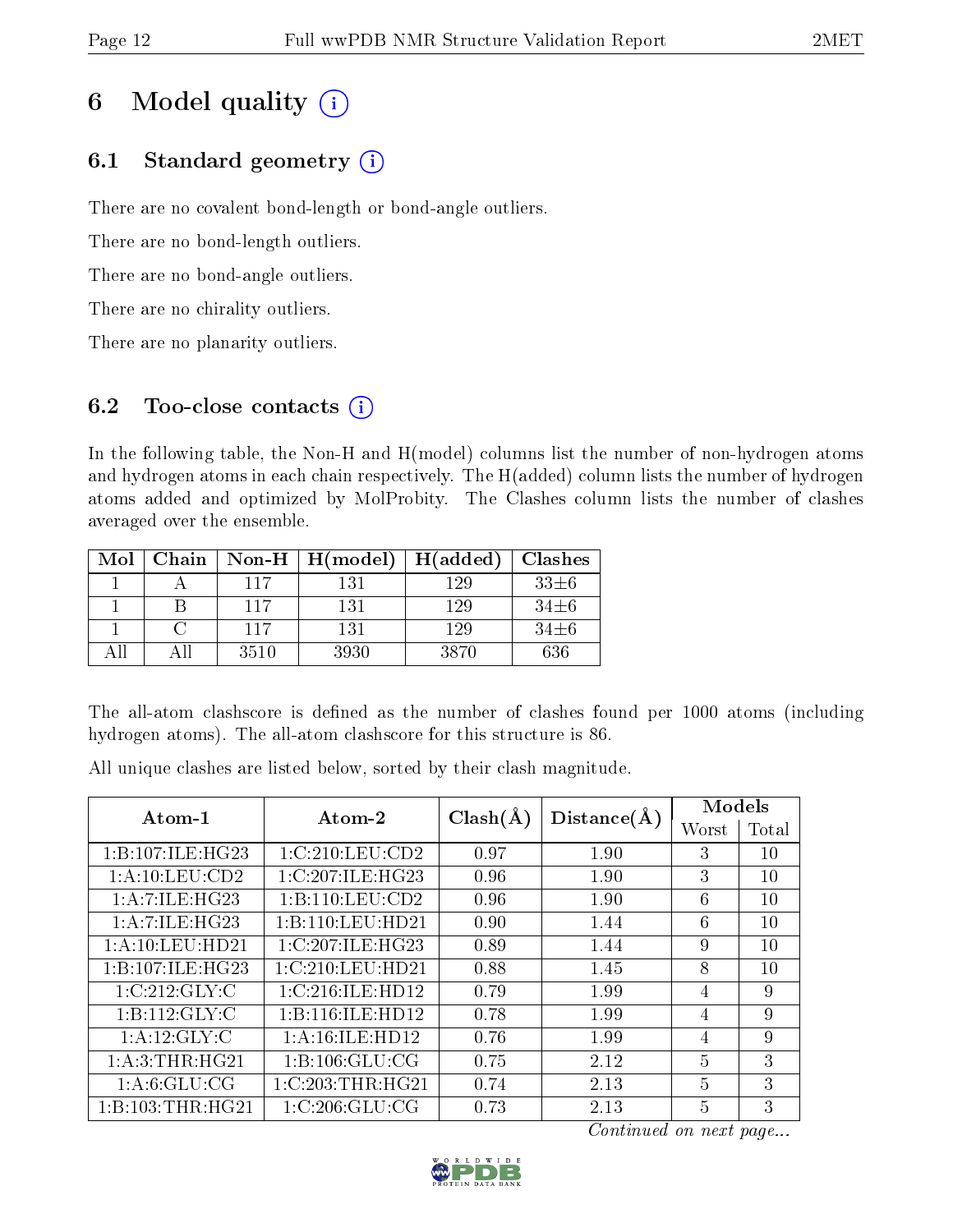# 6 Model quality  $(i)$

## 6.1 Standard geometry  $(i)$

There are no covalent bond-length or bond-angle outliers.

There are no bond-length outliers.

There are no bond-angle outliers.

There are no chirality outliers.

There are no planarity outliers.

## 6.2 Too-close contacts  $(i)$

In the following table, the Non-H and H(model) columns list the number of non-hydrogen atoms and hydrogen atoms in each chain respectively. The H(added) column lists the number of hydrogen atoms added and optimized by MolProbity. The Clashes column lists the number of clashes averaged over the ensemble.

| Mol  | Chain | Non-H $\parallel$ | $\mid$ H(model) | H(added) | <b>Clashes</b> |
|------|-------|-------------------|-----------------|----------|----------------|
|      |       | 117               | 131             | 129      | $33\pm 6$      |
|      |       | 117               | 131             | 129      | $34\pm 6$      |
|      |       | 117               | 131             | 129      | $34\pm 6$      |
| Δ 11 |       | 3510              | 3930            | 3870     | 636            |

The all-atom clashscore is defined as the number of clashes found per 1000 atoms (including hydrogen atoms). The all-atom clashscore for this structure is 86.

All unique clashes are listed below, sorted by their clash magnitude.

| Atom-1              | Atom-2             | $Clash(\AA)$ |             | Models |       |
|---------------------|--------------------|--------------|-------------|--------|-------|
|                     |                    |              | Distance(A) | Worst  | Total |
| 1:B:107:ILE:HG23    | 1:C:210:LEU:CD2    | 0.97         | 1.90        | 3      | 10    |
| 1: A:10:LEU:CD2     | 1:C:207:ILE:HG23   | 0.96         | 1.90        | 3      | 10    |
| 1: A:7: ILE: HG23   | 1:B:110:LEU:CD2    | 0.96         | 1.90        | 6      | 10    |
| 1: A: 7: ILE: HG23  | 1:B:110:LEU:HD21   | 0.90         | 1.44        | 6      | 10    |
| 1: A: 10: LEU: HD21 | 1:C:207:ILE:HG23   | 0.89         | 1.44        | 9      | 10    |
| 1:B:107:ILE:HG23    | 1:C:210:LEU:HD21   | 0.88         | 1.45        | 8      | 10    |
| 1:C:212:GLY:C       | 1:C:216:ILE:HD12   | 0.79         | 1.99        | 4      | 9     |
| 1:B:112:GLY:C       | 1:B:116:ILE:HD12   | 0.78         | 1.99        | 4      | 9     |
| 1: A:12: GLY: C     | 1: A:16: ILE: HD12 | 0.76         | 1.99        | 4      | 9     |
| 1: A:3:THR:HG21     | 1: B: 106: GLU: CG | 0.75         | 2.12        | 5      | 3     |
| 1: A:6: GLU:CG      | 1:C:203:THR:HG21   | 0.74         | 2.13        | 5      | 3     |
| 1:B:103:THR:HG21    | 1: C:206: GLU:CG   | 0.73         | 2.13        | 5      | 3     |

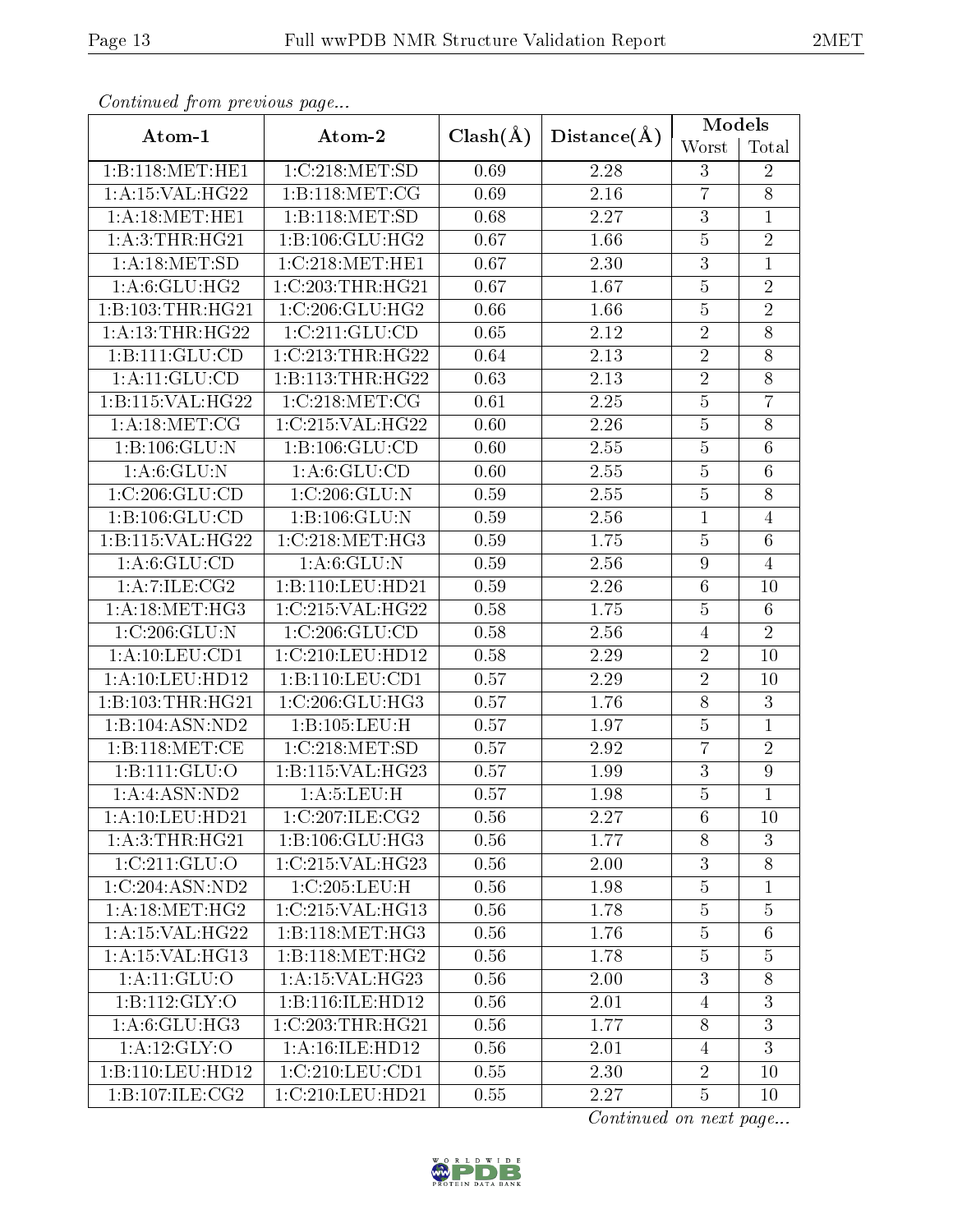| Continuea from previous page |                    |              |                   | <b>Models</b>  |                  |
|------------------------------|--------------------|--------------|-------------------|----------------|------------------|
| Atom-1                       | Atom-2             | $Clash(\AA)$ | Distance(A)       | Worst          | Total            |
| 1:B:118:MET:HE1              | 1:C:218:MET:SD     | 0.69         | 2.28              | 3              | $\overline{2}$   |
| 1:A:15:VAL:HG22              | 1:B:118:MET:CG     | 0.69         | 2.16              | $\overline{7}$ | $\overline{8}$   |
| 1: A:18: MET:HE1             | 1:B:118:MET:SD     | 0.68         | 2.27              | $\overline{3}$ | $\mathbf{1}$     |
| 1: A:3:THR:HG21              | 1:B:106:GLU:HG2    | 0.67         | 1.66              | $\overline{5}$ | $\overline{2}$   |
| 1: A:18: MET:SD              | 1:C:218:MET:HE1    | 0.67         | 2.30              | $\overline{3}$ | $\mathbf{1}$     |
| $1: A:6: \overline{GLU:HG2}$ | 1:C:203:THR:HG21   | 0.67         | 1.67              | $\overline{5}$ | $\sqrt{2}$       |
| 1:B:103:THR:HG21             | 1:C:206:GLU:HG2    | 0.66         | 1.66              | $\overline{5}$ | $\overline{2}$   |
| 1: A:13:THR:HG22             | 1:C:211:GLU:CD     | 0.65         | 2.12              | $\overline{2}$ | 8                |
| 1:B:111:GLU:CD               | 1:C:213:THR:HG22   | 0.64         | 2.13              | $\overline{2}$ | $\overline{8}$   |
| 1: A: 11: GLU: CD            | 1:B:113:THR:HG22   | 0.63         | 2.13              | $\overline{2}$ | 8                |
| 1:B:115:VAL:HG22             | 1:C:218:MET:CG     | 0.61         | $\overline{2.25}$ | $\overline{5}$ | $\overline{7}$   |
| 1: A:18: MET:CG              | 1:C:215:VAL:HG22   | 0.60         | 2.26              | $\bf 5$        | $8\,$            |
| 1:B:106:GLU:N                | 1:B:106:GLU:CD     | 0.60         | 2.55              | $\overline{5}$ | $6\,$            |
| 1:A:6:GLU:N                  | 1: A:6: GLU:CD     | 0.60         | 2.55              | $\overline{5}$ | $\overline{6}$   |
| 1:C:206:GLU:CD               | 1:C:206:GLU:N      | 0.59         | 2.55              | $\overline{5}$ | 8                |
| 1:B:106:GLU:CD               | 1:B:106:GLU:N      | 0.59         | 2.56              | $\mathbf 1$    | $\overline{4}$   |
| 1:B:115:VAL:HG22             | 1:C:218:MET:HG3    | 0.59         | 1.75              | $\overline{5}$ | $6\,$            |
| 1: A:6: GLU:CD               | 1: A:6: GLU: N     | 0.59         | 2.56              | $\overline{9}$ | $\overline{4}$   |
| 1: A:7: ILE: CG2             | 1:B:110:LEU:HD21   | 0.59         | 2.26              | $\overline{6}$ | 10               |
| 1: A:18:MET:HG3              | 1:C:215:VAL:HG22   | 0.58         | 1.75              | $\overline{5}$ | $6\phantom{.}6$  |
| 1:C:206:GLU:N                | 1:C:206:GLU:CD     | 0.58         | 2.56              | $\overline{4}$ | $\overline{2}$   |
| 1: A: 10: LEU: CD1           | 1:C:210:LEU:HD12   | 0.58         | 2.29              | $\overline{2}$ | 10               |
| 1:A:10:LEU:HD12              | 1:B:110:LEU:CD1    | 0.57         | 2.29              | $\overline{2}$ | 10               |
| 1:B:103:THR:HG21             | 1:C:206:GLU:HG3    | 0.57         | 1.76              | 8              | 3                |
| 1:B:104:ASN:ND2              | 1:B:105:LEU:H      | 0.57         | 1.97              | $\overline{5}$ | $\mathbf{1}$     |
| 1:B:118:MET:CE               | 1:C:218:MET:SD     | 0.57         | 2.92              | 7              | $\overline{2}$   |
| 1:B:111:GLU:O                | 1:B:115:VAL:HG23   | 0.57         | 1.99              | $\overline{3}$ | $\boldsymbol{9}$ |
| 1: A: 4: ASN: ND2            | 1: A:5: LEU:H      | 0.57         | 1.98              | $\overline{5}$ | $\overline{1}$   |
| 1: A: 10: LEU: HD21          | 1:C:207:ILE:CG2    | 0.56         | 2.27              | 6              | 10               |
| 1: A:3:THR:HG21              | 1:B:106:GLU:HG3    | 0.56         | 1.77              | 8              | 3                |
| 1:C:211:GLU:O                | 1:C:215:VAL:HG23   | 0.56         | 2.00              | $\overline{3}$ | $8\,$            |
| 1:C:204:ASN:ND2              | 1:C:205:LEU:H      | 0.56         | 1.98              | $\overline{5}$ | $\mathbf{1}$     |
| 1: A:18: MET:HG2             | 1:C:215:VAL:HG13   | 0.56         | 1.78              | $\overline{5}$ | $\overline{5}$   |
| 1: A:15: VAL:HG22            | 1:B:118:MET:HG3    | 0.56         | 1.76              | $\overline{5}$ | $\,6\,$          |
| 1: A:15: VAL:HG13            | 1:B:118:MET:HG2    | 0.56         | 1.78              | $\bf 5$        | $\bf 5$          |
| 1:A:11:GLU:O                 | 1: A:15: VAL:HG23  | 0.56         | 2.00              | $\overline{3}$ | $8\,$            |
| 1:B:112:GLY:O                | 1:B:116:ILE:HD12   | 0.56         | 2.01              | $\overline{4}$ | 3                |
| 1: A:6: GLU: HG3             | 1:C:203:THR:HG21   | 0.56         | 1.77              | 8              | $\overline{3}$   |
| $1:$ A:12:GLY:O              | 1: A:16: ILE: HD12 | 0.56         | 2.01              | 4              | $\mathfrak{Z}$   |
| 1:B:110:LEU:HD12             | 1:C:210:LEU:CD1    | 0.55         | 2.30              | $\sqrt{2}$     | 10               |
| 1:B:107:ILE:CG2              | 1:C:210:LEU:HD21   | 0.55         | 2.27              | $\overline{5}$ | 10               |

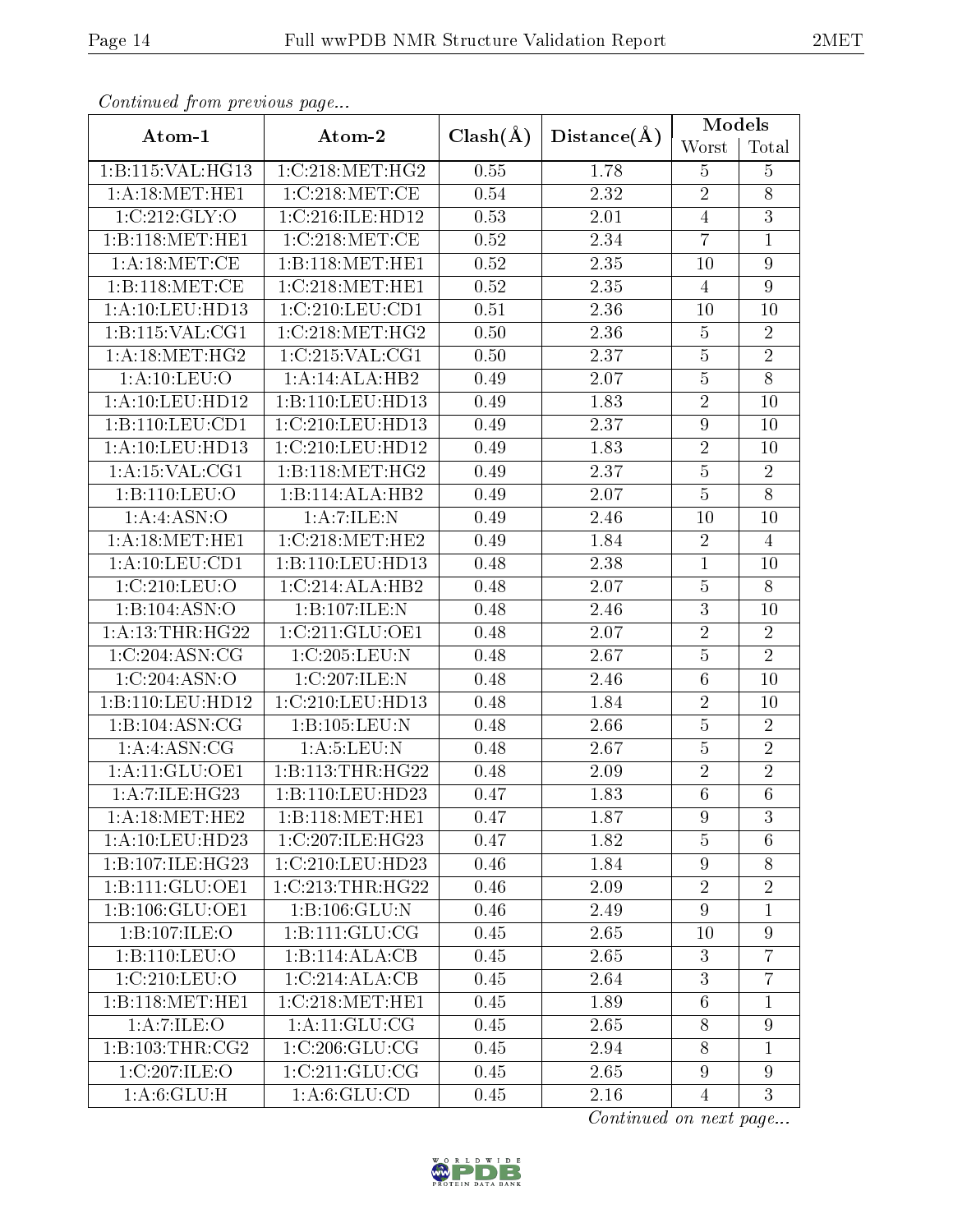| Communica from previous page |                   |              |             | <b>Models</b>    |                |  |
|------------------------------|-------------------|--------------|-------------|------------------|----------------|--|
| Atom-1                       | Atom-2            | $Clash(\AA)$ | Distance(A) | Worst            | Total          |  |
| 1:B:115:VAL:HG13             | 1:C:218:MET:HG2   | 0.55         | 1.78        | 5                | $\overline{5}$ |  |
| 1: A:18:MET:HE1              | 1:C:218:MET:CE    | 0.54         | 2.32        | $\overline{2}$   | $8\,$          |  |
| 1:C:212:GLY:O                | 1:C:216:ILE:HD12  | 0.53         | 2.01        | $\overline{4}$   | $\overline{3}$ |  |
| 1:B:118:MET:HE1              | 1:C:218:MET:CE    | 0.52         | 2.34        | $\overline{7}$   | $\mathbf{1}$   |  |
| 1:A:18:MET:CE                | 1:B:118:MET:HE1   | 0.52         | 2.35        | 10               | $\overline{9}$ |  |
| 1:B:118:MET:CE               | 1:C:218:MET:HE1   | 0.52         | 2.35        | $\overline{4}$   | $\overline{9}$ |  |
| 1: A: 10: LEU: HD13          | 1:C:210:LEU:CD1   | 0.51         | 2.36        | 10               | 10             |  |
| 1:B:115:VAL:CG1              | 1:C:218:MET:HG2   | 0.50         | 2.36        | $\bf 5$          | $\sqrt{2}$     |  |
| 1: A:18: MET:HG2             | 1:C:215:VAL:CG1   | 0.50         | 2.37        | $\overline{5}$   | $\overline{2}$ |  |
| 1: A: 10: LEU: O             | 1:A:14:ALA:HB2    | 0.49         | 2.07        | $\bf 5$          | $\overline{8}$ |  |
| 1:A:10:LEU:HD12              | 1:B:110:LEU:HD13  | 0.49         | 1.83        | $\overline{2}$   | 10             |  |
| 1:B:110:LEU:CD1              | 1:C:210:LEU:HD13  | 0.49         | 2.37        | $\boldsymbol{9}$ | 10             |  |
| 1: A: 10: LEU: HD13          | 1:C:210:LEU:HD12  | 0.49         | 1.83        | $\overline{2}$   | 10             |  |
| 1:A:15:VAL:CG1               | 1:B:118:MET:HG2   | 0.49         | 2.37        | $\overline{5}$   | $\sqrt{2}$     |  |
| 1:B:110:LEU:O                | 1:B:114:ALA:HB2   | 0.49         | 2.07        | $\overline{5}$   | $\overline{8}$ |  |
| 1:A:4:ASN:O                  | 1:A:7:ILE:N       | 0.49         | 2.46        | 10               | 10             |  |
| 1: A:18:MET:HE1              | 1:C:218:MET:HE2   | 0.49         | 1.84        | $\overline{2}$   | $\overline{4}$ |  |
| 1:A:10:LEU:CD1               | 1:B:110:LEU:HD13  | 0.48         | 2.38        | 1                | 10             |  |
| 1:C:210:LEU:O                | 1:C:214:ALA:HB2   | 0.48         | 2.07        | $\overline{5}$   | 8              |  |
| 1:B:104:ASN:O                | 1:B:107:ILE:N     | 0.48         | 2.46        | $\overline{3}$   | 10             |  |
| 1: A:13:THR:HG22             | 1:C:211:GLU:OE1   | 0.48         | 2.07        | $\overline{2}$   | $\overline{2}$ |  |
| 1:C:204:ASN:CG               | 1:C:205:LEU:N     | 0.48         | 2.67        | $\overline{5}$   | $\overline{2}$ |  |
| 1:C:204:ASN:O                | 1:C:207:ILE:N     | 0.48         | 2.46        | $6\phantom{.}6$  | 10             |  |
| 1:B:110:LEU:HD12             | 1:C:210:LEU:HD13  | 0.48         | 1.84        | $\overline{2}$   | 10             |  |
| 1:B:104:ASN:CG               | 1:B:105:LEU:N     | 0.48         | 2.66        | $\overline{5}$   | $\sqrt{2}$     |  |
| 1: A: 4: ASN: CG             | 1: A:5: LEU: N    | 0.48         | 2.67        | $\overline{5}$   | $\overline{2}$ |  |
| 1:A:11:GLU:OE1               | 1:B:113:THR:HG22  | 0.48         | 2.09        | $\overline{2}$   | $\overline{2}$ |  |
| 1: A: 7: ILE: HG23           | 1:B:110:LEU:HD23  | 0.47         | 1.83        | $\overline{6}$   | $\overline{6}$ |  |
| 1: A:18:MET:HE2              | 1:B:118:MET:HE1   | 0.47         | 1.87        | 9                | 3              |  |
| 1:A:10:LEU:HD23              | 1:C:207:ILE:HG23  | 0.47         | 1.82        | $\overline{5}$   | 6              |  |
| 1:B:107:ILE:HG23             | 1:C:210:LEU:HD23  | 0.46         | 1.84        | 9                | 8              |  |
| 1:B:111:GLU:OE1              | 1:C:213:THR:HG22  | 0.46         | 2.09        | $\overline{2}$   | $\sqrt{2}$     |  |
| 1:B:106:GLU:OE1              | 1:B:106:GLU:N     | 0.46         | 2.49        | 9                | $\mathbf{1}$   |  |
| 1:B:107:ILE:O                | 1:B:111:GLU:CG    | 0.45         | 2.65        | 10               | $\overline{9}$ |  |
| 1:B:110:LEU:O                | 1:B:114:ALA:CB    | 0.45         | 2.65        | 3                | $\overline{7}$ |  |
| 1:C:210:LEU:O                | 1:C:214:ALA:CB    | 0.45         | 2.64        | $\overline{3}$   | $\overline{7}$ |  |
| 1:B:118:MET:HE1              | 1:C:218:MET:HE1   | 0.45         | 1.89        | 6                | 1              |  |
| 1:A:7:ILE:O                  | 1: A: 11: GLU: CG | 0.45         | 2.65        | 8                | 9              |  |
| 1:B:103:THR:CG2              | 1:C:206:GLU:CG    | 0.45         | 2.94        | 8                | $\mathbf{1}$   |  |
| 1:C:207:ILE:O                | 1:C:211:GLU:CG    | 0.45         | 2.65        | 9                | 9              |  |
| 1: A:6: GLU:H                | 1: A:6: GLU:CD    | 0.45         | 2.16        | $\overline{4}$   | 3              |  |

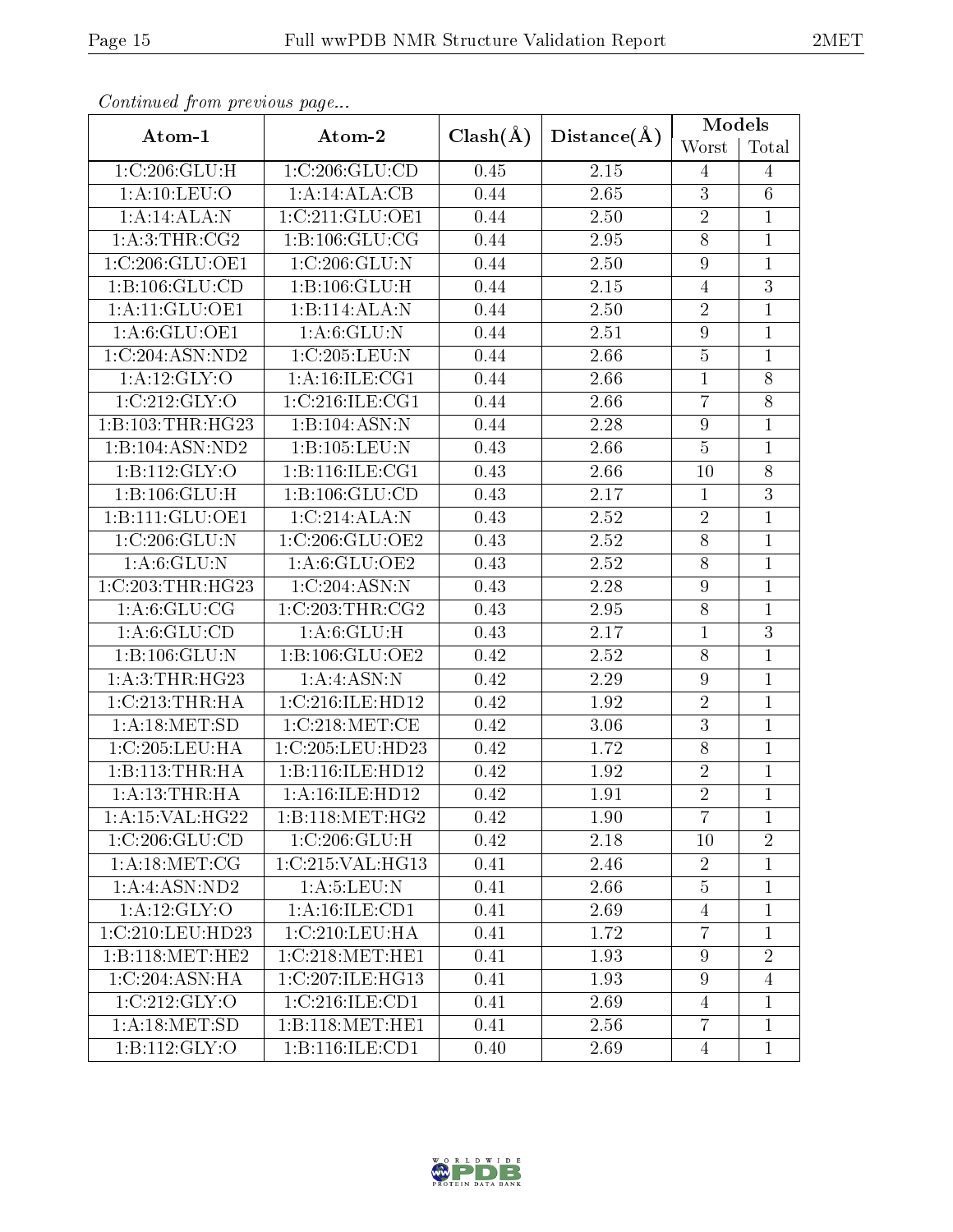| Continual from previous page |                                   |              |             | Models         |                |
|------------------------------|-----------------------------------|--------------|-------------|----------------|----------------|
| Atom-1                       | Atom-2                            | $Clash(\AA)$ | Distance(A) | Worst          | Total          |
| 1: C:206: GLU: H             | 1:C:206:GLU:CD                    | 0.45         | 2.15        | 4              | $\overline{4}$ |
| 1:A:10:LEU:O                 | 1:A:14:ALA:CB                     | 0.44         | 2.65        | 3              | $\,6\,$        |
| 1:A:14:ALA:N                 | 1:C:211:GLU:OE1                   | 0.44         | 2.50        | $\overline{2}$ | $\mathbf{1}$   |
| 1: A:3:THR:CG2               | 1: B: 106: GLU: CG                | 0.44         | 2.95        | $\overline{8}$ | $\mathbf{1}$   |
| 1:C:206:GLU:OE1              | 1:C:206:GLU:N                     | 0.44         | 2.50        | $\overline{9}$ | $\mathbf{1}$   |
| 1:B:106:GLU:CD               | $1:B:106:\overline{\text{GLU:H}}$ | 0.44         | 2.15        | 4              | $\overline{3}$ |
| 1:A:11:GLU:OE1               | 1:B:114:ALA:N                     | 0.44         | 2.50        | $\overline{2}$ | $\overline{1}$ |
| 1: A:6: GLU:OE1              | 1: A:6: GLU:N                     | 0.44         | 2.51        | 9              | $\mathbf{1}$   |
| 1:C:204:ASN:ND2              | 1:C:205:LEU:N                     | 0.44         | 2.66        | $\overline{5}$ | $\overline{1}$ |
| 1: A:12: GLY:O               | 1:A:16:ILE:CG1                    | 0.44         | 2.66        | $\mathbf 1$    | $8\,$          |
| 1:C:212:GLY:O                | 1:C:216:ILE:CG1                   | 0.44         | 2.66        | $\overline{7}$ | $\overline{8}$ |
| 1:B:103:THR:HG23             | 1:B:104:ASN:N                     | 0.44         | 2.28        | $\overline{9}$ | $\mathbf{1}$   |
| 1:B:104:ASN:ND2              | 1:B:105:LEU:N                     | 0.43         | 2.66        | $\overline{5}$ | $\overline{1}$ |
| 1:B:112:GLY:O                | 1:B:116:ILE:CG1                   | 0.43         | 2.66        | 10             | $8\,$          |
| 1:B:106:GLU:H                | 1:B:106:GLU:CD                    | 0.43         | 2.17        | $\mathbf{1}$   | 3              |
| 1:B:111:GLU:OE1              | 1:C:214:ALA:N                     | 0.43         | 2.52        | $\overline{2}$ | $\mathbf{1}$   |
| 1:C:206:GLU:N                | 1:C:206:GLU:OE2                   | 0.43         | 2.52        | 8              | $\mathbf{1}$   |
| 1: A:6: GLU:N                | 1: A:6: GLU:OE2                   | 0.43         | 2.52        | $\overline{8}$ | $\mathbf{1}$   |
| 1:C:203:THR:HG23             | 1:C:204:ASN:N                     | 0.43         | 2.28        | $\overline{9}$ | $\mathbf{1}$   |
| 1: A:6: GLU:CG               | 1:C:203:THR:CG2                   | 0.43         | 2.95        | 8              | $\mathbf{1}$   |
| 1: A:6: GLU:CD               | 1: A:6: GLU:H                     | 0.43         | 2.17        | $\mathbf{1}$   | $\overline{3}$ |
| 1:B:106:GLU:N                | 1:B:106:GLU:OE2                   | 0.42         | 2.52        | 8              | $\mathbf{1}$   |
| 1: A:3:THR:HG23              | 1:A:4:ASN:N                       | 0.42         | 2.29        | 9              | $\mathbf{1}$   |
| 1:C:213:THR:HA               | 1:C:216:ILE:HD12                  | 0.42         | 1.92        | $\overline{2}$ | $\mathbf{1}$   |
| 1: A:18: MET:SD              | 1:C:218:MET:CE                    | 0.42         | 3.06        | $\overline{3}$ | $\mathbf{1}$   |
| 1:C:205:LEU:HA               | 1:C:205:LEU:HD23                  | 0.42         | 1.72        | $\overline{8}$ | $\overline{1}$ |
| 1:B:113:THR:HA               | 1:B:116:ILE:HD12                  | 0.42         | 1.92        | $\overline{2}$ | $\mathbf{1}$   |
| 1: A:13:THR:HA               | 1: A:16: ILE: HD12                | 0.42         | 1.91        | $\overline{2}$ | $\overline{1}$ |
| 1: A:15: VAL:HG22            | 1:B:118:MET:HG2                   | 0.42         | 1.90        | $\overline{7}$ | 1              |
| 1:C:206:GLU:CD               | 1:C:206:GLU:H                     | 0.42         | 2.18        | 10             | $\overline{2}$ |
| 1: A:18: MET:CG              | 1:C:215:VAL:HG13                  | 0.41         | 2.46        | $\overline{2}$ | $\mathbf{1}$   |
| $1:A:4:\overline{ASN:ND2}$   | 1: A:5: LEU: N                    | 0.41         | 2.66        | $\overline{5}$ | $\mathbf{1}$   |
| 1: A:12: GLY:O               | 1: A:16: ILE: CD1                 | 0.41         | 2.69        | 4              | $\mathbf{1}$   |
| 1:C:210:LEU:HD23             | 1:C:210:LEU:HA                    | 0.41         | 1.72        | $\overline{7}$ | $\mathbf{1}$   |
| 1:B:118:MET:HE2              | 1:C:218:MET:HE1                   | 0.41         | 1.93        | 9              | $\overline{2}$ |
| 1:C:204:ASN:HA               | 1:C:207:ILE:HG13                  | 0.41         | 1.93        | $\overline{9}$ | $\overline{4}$ |
| 1:C:212:GLY:O                | 1:C:216:ILE:CD1                   | 0.41         | 2.69        | $\overline{4}$ | $\mathbf{1}$   |
| 1: A:18: MET:SD              | 1:B:118:MET:HE1                   | 0.41         | 2.56        | $\overline{7}$ | $\mathbf{1}$   |
| 1: B: 112: GLY: O            | 1:B:116:ILE:CD1                   | 0.40         | 2.69        | $\overline{4}$ | $\mathbf{1}$   |

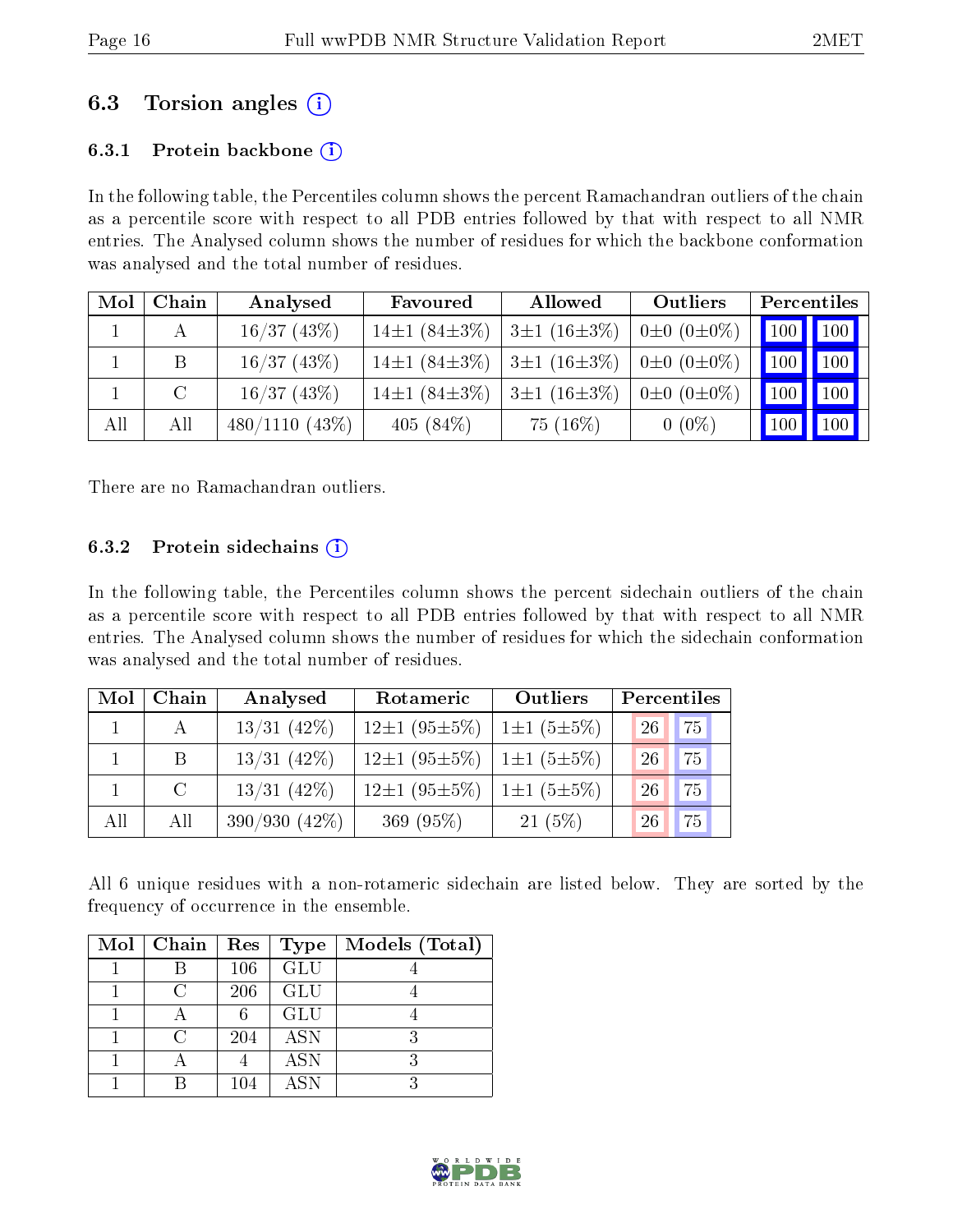## 6.3 Torsion angles (i)

#### 6.3.1 Protein backbone  $(i)$

In the following table, the Percentiles column shows the percent Ramachandran outliers of the chain as a percentile score with respect to all PDB entries followed by that with respect to all NMR entries. The Analysed column shows the number of residues for which the backbone conformation was analysed and the total number of residues.

| Mol | Chain | Analysed         | Favoured                 | Allowed           | Outliers              |     | Percentiles                            |
|-----|-------|------------------|--------------------------|-------------------|-----------------------|-----|----------------------------------------|
|     |       | 16/37(43%)       | $14\pm1(84\pm3\%)$       | $3\pm1(16\pm3\%)$ | $0\pm 0$ $(0\pm 0\%)$ |     | $\boxed{100}$ $\boxed{100}$ $\boxed{}$ |
|     |       | 16/37(43%)       | $14\pm1(84\pm3\%)$       | $3\pm1(16\pm3\%)$ | $0\pm 0$ $(0\pm 0\%)$ | 100 | $\vert$ 100 $\vert$ 1                  |
|     |       | 16/37(43%)       | 14 $\pm$ 1 (84 $\pm$ 3%) | $3\pm1(16\pm3\%)$ | $0\pm 0$ $(0\pm 0\%)$ | 100 | $\vert$ 100 $\vert$ 1                  |
| All | All   | $480/1110(43\%)$ | 405 $(84\%)$             | $75(16\%)$        | $0(0\%)$              | 100 | $\vert$ 100 $\vert$ 1                  |

There are no Ramachandran outliers.

#### 6.3.2 Protein sidechains  $(i)$

In the following table, the Percentiles column shows the percent sidechain outliers of the chain as a percentile score with respect to all PDB entries followed by that with respect to all NMR entries. The Analysed column shows the number of residues for which the sidechain conformation was analysed and the total number of residues.

| Mol | Chain       | Analysed        | Rotameric                                      | Outliers         | Percentiles      |
|-----|-------------|-----------------|------------------------------------------------|------------------|------------------|
|     | А           | $13/31$ (42\%)  | $12\pm1(95\pm5\%)$                             | $1\pm1(5\pm5\%)$ | 75 <br><b>26</b> |
|     | B           | $13/31$ (42%)   | $12\pm1$ (95 $\pm$ 5%)   1 $\pm1$ (5 $\pm$ 5%) |                  | 75<br>26         |
|     | $\mathbf C$ | $13/31$ (42%)   | $12\pm1$ (95 $\pm$ 5%)   1 $\pm1$ (5 $\pm$ 5%) |                  | 75<br>26         |
| All | All         | $390/930(42\%)$ | 369 $(95%)$                                    | $21(5\%)$        | 75<br>26         |

All 6 unique residues with a non-rotameric sidechain are listed below. They are sorted by the frequency of occurrence in the ensemble.

| Mol | Chain                  | Res | <b>Type</b> | Models (Total) |
|-----|------------------------|-----|-------------|----------------|
|     |                        | 106 | <b>GLU</b>  |                |
|     | $\left( \cdot \right)$ | 206 | <b>GLU</b>  |                |
|     |                        |     | <b>GLU</b>  |                |
|     | C                      | 204 | <b>ASN</b>  |                |
|     |                        |     | <b>ASN</b>  |                |
|     |                        | 104 | <b>ASN</b>  |                |

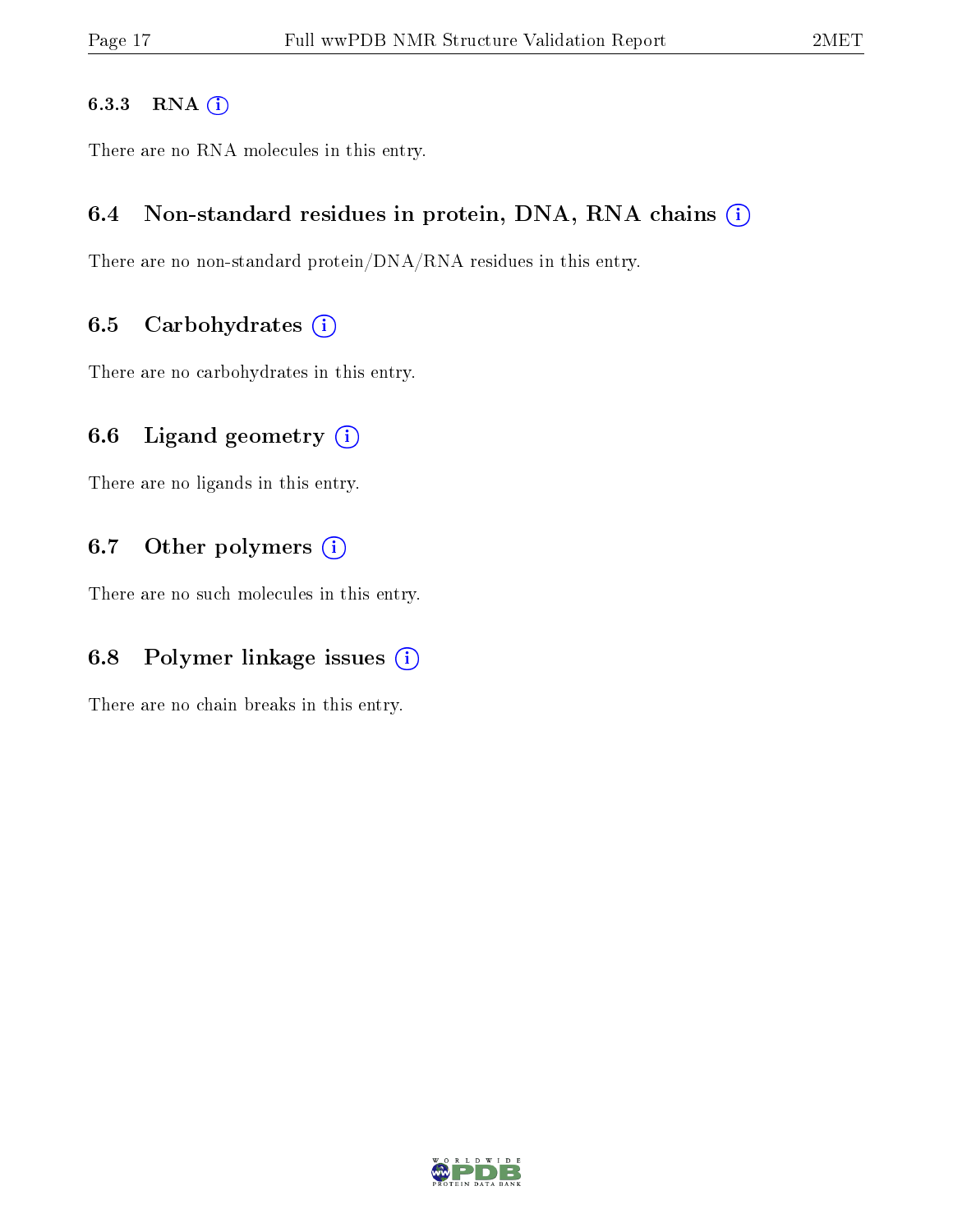#### 6.3.3 RNA [O](https://www.wwpdb.org/validation/2017/NMRValidationReportHelp#rna)i

There are no RNA molecules in this entry.

#### 6.4 Non-standard residues in protein, DNA, RNA chains (i)

There are no non-standard protein/DNA/RNA residues in this entry.

#### 6.5 Carbohydrates  $(i)$

There are no carbohydrates in this entry.

### 6.6 Ligand geometry  $(i)$

There are no ligands in this entry.

### 6.7 [O](https://www.wwpdb.org/validation/2017/NMRValidationReportHelp#nonstandard_residues_and_ligands)ther polymers (i)

There are no such molecules in this entry.

## 6.8 Polymer linkage issues  $(i)$

There are no chain breaks in this entry.

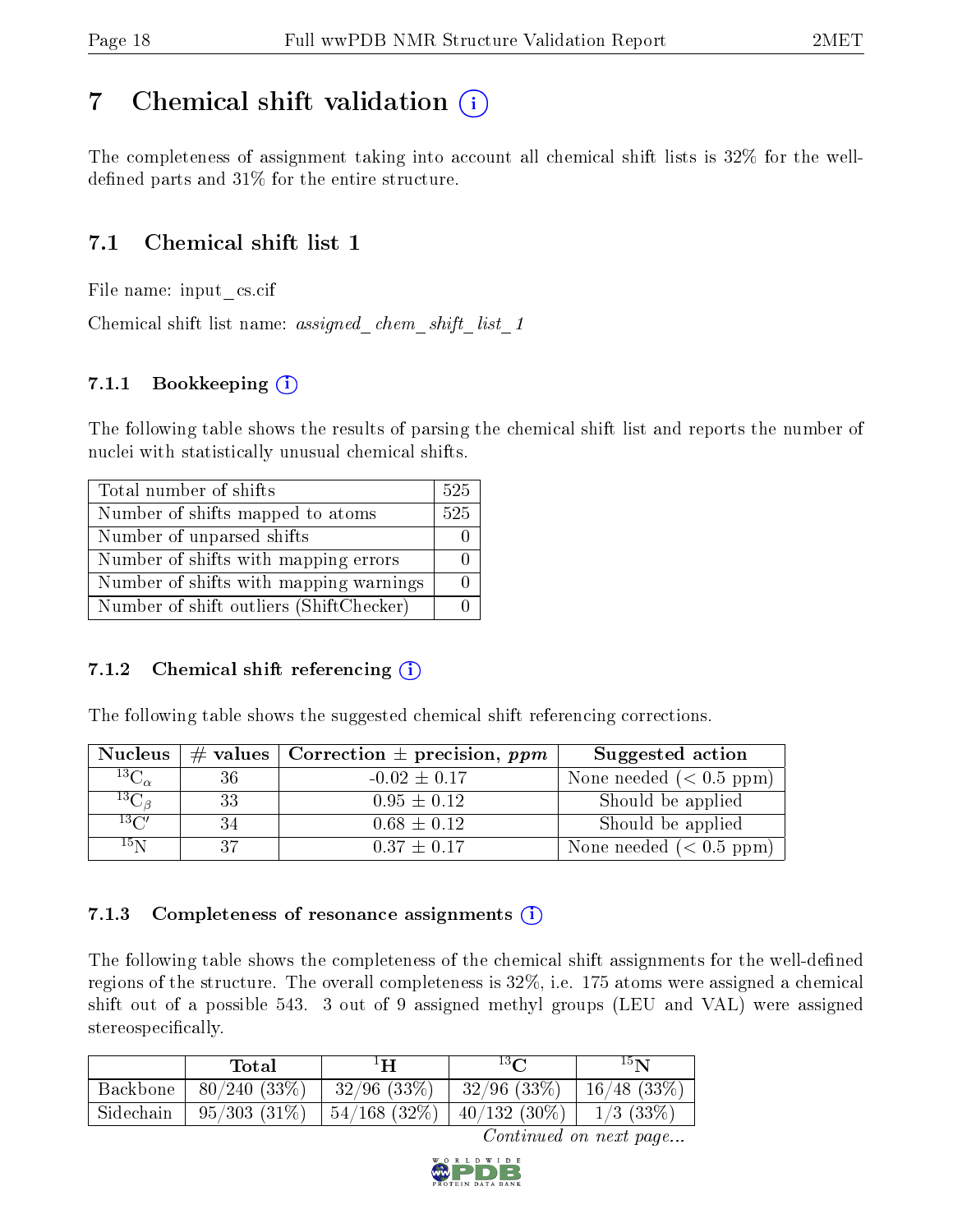# <span id="page-17-0"></span>7 Chemical shift validation  $\left( \begin{array}{c} \overline{1} \end{array} \right)$

The completeness of assignment taking into account all chemical shift lists is 32% for the welldefined parts and  $31\%$  for the entire structure.

## 7.1 Chemical shift list 1

File name: input\_cs.cif

Chemical shift list name: *assigned\_chem\_shift\_list\_1* 

### 7.1.1 Bookkeeping (i)

The following table shows the results of parsing the chemical shift list and reports the number of nuclei with statistically unusual chemical shifts.

| Total number of shifts                  | 525 |
|-----------------------------------------|-----|
| Number of shifts mapped to atoms        | 525 |
| Number of unparsed shifts               |     |
| Number of shifts with mapping errors    |     |
| Number of shifts with mapping warnings  |     |
| Number of shift outliers (ShiftChecker) |     |

#### 7.1.2 Chemical shift referencing  $(i)$

The following table shows the suggested chemical shift referencing corrections.

| <b>Nucleus</b>     | $\#$ values $\ $ | $\vert$ Correction $\pm$ precision, ppm | Suggested action        |
|--------------------|------------------|-----------------------------------------|-------------------------|
| $^{13}C_{\alpha}$  | 36               | $-0.02 \pm 0.17$                        | None needed $(0.5 ppm)$ |
| ${}^{13}C_{\beta}$ | 33               | $0.95 \pm 0.12$                         | Should be applied       |
| $13\text{C}$       | 34               | $0.68 \pm 0.12$                         | Should be applied       |
| $15\,\mathrm{N}$   | 37               | $0.37 \pm 0.17$                         | None needed $(0.5 ppm)$ |

#### 7.1.3 Completeness of resonance assignments  $(i)$

The following table shows the completeness of the chemical shift assignments for the well-defined regions of the structure. The overall completeness is 32%, i.e. 175 atoms were assigned a chemical shift out of a possible 543. 3 out of 9 assigned methyl groups (LEU and VAL) were assigned stereospecifically.

|           | $\rm Total$    | $1\mathbf{H}$ | $13\,$ $\sim$   | $15\mathbf{N}$ |
|-----------|----------------|---------------|-----------------|----------------|
| Backbone  | 80/240(33%)    | $-32/96(33%)$ | $32/96$ (33\%)  | $16/48$ (33\%) |
| Sidechain | $95/303(31\%)$ | 54/168(32%)   | $140/132(30\%)$ | $1/3$ (33\%)   |